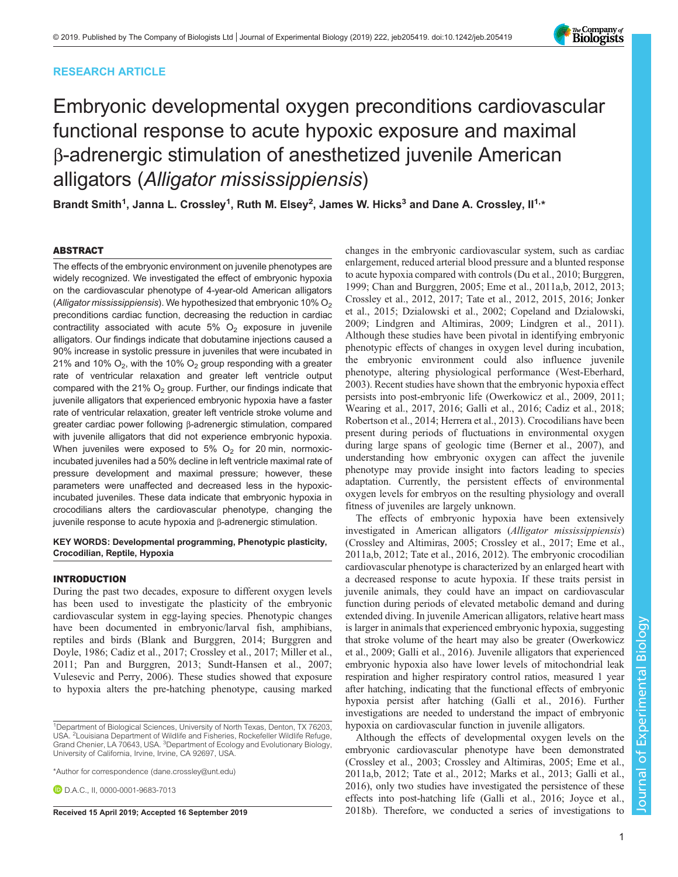# RESEARCH ARTICLE



# Embryonic developmental oxygen preconditions cardiovascular functional response to acute hypoxic exposure and maximal β-adrenergic stimulation of anesthetized juvenile American alligators (Alligator mississippiensis)

Brandt Smith<sup>1</sup>, Janna L. Crossley<sup>1</sup>, Ruth M. Elsey<sup>2</sup>, James W. Hicks $^3$  and Dane A. Crossley, II<sup>1,</sup>\*

# ABSTRACT

The effects of the embryonic environment on juvenile phenotypes are widely recognized. We investigated the effect of embryonic hypoxia on the cardiovascular phenotype of 4-year-old American alligators (Alligator mississippiensis). We hypothesized that embryonic 10%  $O<sub>2</sub>$ preconditions cardiac function, decreasing the reduction in cardiac contractility associated with acute  $5\%$  O<sub>2</sub> exposure in juvenile alligators. Our findings indicate that dobutamine injections caused a 90% increase in systolic pressure in juveniles that were incubated in 21% and 10%  $O_2$ , with the 10%  $O_2$  group responding with a greater rate of ventricular relaxation and greater left ventricle output compared with the 21%  $O<sub>2</sub>$  group. Further, our findings indicate that juvenile alligators that experienced embryonic hypoxia have a faster rate of ventricular relaxation, greater left ventricle stroke volume and greater cardiac power following β-adrenergic stimulation, compared with juvenile alligators that did not experience embryonic hypoxia. When juveniles were exposed to 5%  $O_2$  for 20 min, normoxicincubated juveniles had a 50% decline in left ventricle maximal rate of pressure development and maximal pressure; however, these parameters were unaffected and decreased less in the hypoxicincubated juveniles. These data indicate that embryonic hypoxia in crocodilians alters the cardiovascular phenotype, changing the juvenile response to acute hypoxia and β-adrenergic stimulation.

## KEY WORDS: Developmental programming, Phenotypic plasticity, Crocodilian, Reptile, Hypoxia

# INTRODUCTION

During the past two decades, exposure to different oxygen levels has been used to investigate the plasticity of the embryonic cardiovascular system in egg-laying species. Phenotypic changes have been documented in embryonic/larval fish, amphibians, reptiles and birds ([Blank and Burggren, 2014](#page-9-0); [Burggren and](#page-9-0) [Doyle, 1986; Cadiz et al., 2017;](#page-9-0) [Crossley et al., 2017; Miller et al.,](#page-10-0) [2011](#page-10-0); [Pan and Burggren, 2013](#page-10-0); [Sundt-Hansen et al., 2007](#page-11-0); [Vulesevic and Perry, 2006\)](#page-11-0). These studies showed that exposure to hypoxia alters the pre-hatching phenotype, causing marked

\*Author for correspondence [\(dane.crossley@unt.edu\)](mailto:dane.crossley@unt.edu)

**D.** D.A.C., II, [0000-0001-9683-7013](http://orcid.org/0000-0001-9683-7013)

changes in the embryonic cardiovascular system, such as cardiac enlargement, reduced arterial blood pressure and a blunted response to acute hypoxia compared with controls [\(Du et al., 2010;](#page-10-0) [Burggren,](#page-9-0) [1999; Chan and Burggren, 2005;](#page-9-0) [Eme et al., 2011a](#page-10-0),[b](#page-10-0), [2012](#page-10-0), [2013](#page-10-0); [Crossley et al., 2012](#page-10-0), [2017;](#page-10-0) [Tate et al., 2012](#page-11-0), [2015, 2016](#page-11-0); [Jonker](#page-10-0) [et al., 2015; Dzialowski et al., 2002; Copeland and Dzialowski,](#page-10-0) [2009; Lindgren and Altimiras, 2009](#page-10-0); [Lindgren et al., 2011\)](#page-10-0). Although these studies have been pivotal in identifying embryonic phenotypic effects of changes in oxygen level during incubation, the embryonic environment could also influence juvenile phenotype, altering physiological performance [\(West-Eberhard,](#page-11-0) [2003\)](#page-11-0). Recent studies have shown that the embryonic hypoxia effect persists into post-embryonic life ([Owerkowicz et al., 2009, 2011](#page-10-0); [Wearing et al., 2017, 2016](#page-11-0); [Galli et al., 2016;](#page-10-0) [Cadiz et al., 2018](#page-9-0); [Robertson et al., 2014; Herrera et al., 2013](#page-10-0)). Crocodilians have been present during periods of fluctuations in environmental oxygen during large spans of geologic time ([Berner et al., 2007](#page-9-0)), and understanding how embryonic oxygen can affect the juvenile phenotype may provide insight into factors leading to species adaptation. Currently, the persistent effects of environmental oxygen levels for embryos on the resulting physiology and overall fitness of juveniles are largely unknown.

The effects of embryonic hypoxia have been extensively investigated in American alligators (Alligator mississippiensis) [\(Crossley and Altimiras, 2005; Crossley et al., 2017](#page-10-0); [Eme et al.,](#page-10-0) [2011a](#page-10-0),[b](#page-10-0), [2012;](#page-10-0) [Tate et al., 2016](#page-11-0), [2012\)](#page-11-0). The embryonic crocodilian cardiovascular phenotype is characterized by an enlarged heart with a decreased response to acute hypoxia. If these traits persist in juvenile animals, they could have an impact on cardiovascular function during periods of elevated metabolic demand and during extended diving. In juvenile American alligators, relative heart mass is larger in animals that experienced embryonic hypoxia, suggesting that stroke volume of the heart may also be greater [\(Owerkowicz](#page-10-0) [et al., 2009](#page-10-0); [Galli et al., 2016](#page-10-0)). Juvenile alligators that experienced embryonic hypoxia also have lower levels of mitochondrial leak respiration and higher respiratory control ratios, measured 1 year after hatching, indicating that the functional effects of embryonic hypoxia persist after hatching [\(Galli et al., 2016](#page-10-0)). Further investigations are needed to understand the impact of embryonic hypoxia on cardiovascular function in juvenile alligators.

Although the effects of developmental oxygen levels on the embryonic cardiovascular phenotype have been demonstrated [\(Crossley et al., 2003; Crossley and Altimiras, 2005](#page-10-0); [Eme et al.,](#page-10-0) [2011a](#page-10-0),[b](#page-10-0), [2012](#page-10-0); [Tate et al., 2012;](#page-11-0) [Marks et al., 2013](#page-10-0); [Galli et al.,](#page-10-0) [2016\)](#page-10-0), only two studies have investigated the persistence of these effects into post-hatching life [\(Galli et al., 2016](#page-10-0); [Joyce et al.,](#page-10-0) Received 15 April 2019; Accepted 16 September 2019 [2018b\)](#page-10-0). Therefore, we conducted a series of investigations to

<sup>&</sup>lt;sup>1</sup>Department of Biological Sciences, University of North Texas, Denton, TX 76203, USA. <sup>2</sup> Louisiana Department of Wildlife and Fisheries, Rockefeller Wildlife Refuge, Grand Chenier, LA 70643, USA. <sup>3</sup>Department of Ecology and Evolutionary Biology, University of California, Irvine, Irvine, CA 92697, USA.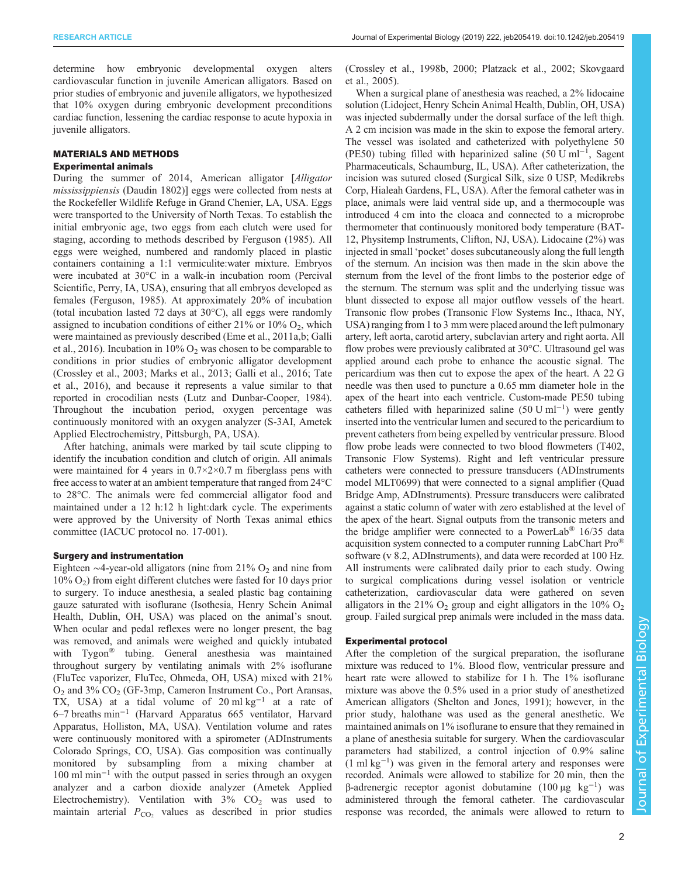determine how embryonic developmental oxygen alters cardiovascular function in juvenile American alligators. Based on prior studies of embryonic and juvenile alligators, we hypothesized that 10% oxygen during embryonic development preconditions cardiac function, lessening the cardiac response to acute hypoxia in juvenile alligators.

## MATERIALS AND METHODS

## Experimental animals

During the summer of 2014, American alligator [Alligator] mississippiensis (Daudin 1802)] eggs were collected from nests at the Rockefeller Wildlife Refuge in Grand Chenier, LA, USA. Eggs were transported to the University of North Texas. To establish the initial embryonic age, two eggs from each clutch were used for staging, according to methods described by [Ferguson \(1985\)](#page-10-0). All eggs were weighed, numbered and randomly placed in plastic containers containing a 1:1 vermiculite:water mixture. Embryos were incubated at 30°C in a walk-in incubation room (Percival Scientific, Perry, IA, USA), ensuring that all embryos developed as females [\(Ferguson, 1985](#page-10-0)). At approximately 20% of incubation (total incubation lasted 72 days at 30°C), all eggs were randomly assigned to incubation conditions of either  $21\%$  or  $10\%$  O<sub>2</sub>, which were maintained as previously described ([Eme et al., 2011a,b; Galli](#page-10-0) [et al., 2016\)](#page-10-0). Incubation in  $10\%$  O<sub>2</sub> was chosen to be comparable to conditions in prior studies of embryonic alligator development [\(Crossley et al., 2003](#page-10-0); [Marks et al., 2013; Galli et al., 2016;](#page-10-0) [Tate](#page-11-0) [et al., 2016\)](#page-11-0), and because it represents a value similar to that reported in crocodilian nests [\(Lutz and Dunbar-Cooper, 1984\)](#page-10-0). Throughout the incubation period, oxygen percentage was continuously monitored with an oxygen analyzer (S-3AI, Ametek Applied Electrochemistry, Pittsburgh, PA, USA).

After hatching, animals were marked by tail scute clipping to identify the incubation condition and clutch of origin. All animals were maintained for 4 years in  $0.7 \times 2 \times 0.7$  m fiberglass pens with free access to water at an ambient temperature that ranged from 24°C to 28°C. The animals were fed commercial alligator food and maintained under a 12 h:12 h light:dark cycle. The experiments were approved by the University of North Texas animal ethics committee (IACUC protocol no. 17-001).

#### Surgery and instrumentation

Eighteen  $\sim$ 4-year-old alligators (nine from 21% O<sub>2</sub> and nine from  $10\% O<sub>2</sub>$ ) from eight different clutches were fasted for 10 days prior to surgery. To induce anesthesia, a sealed plastic bag containing gauze saturated with isoflurane (Isothesia, Henry Schein Animal Health, Dublin, OH, USA) was placed on the animal's snout. When ocular and pedal reflexes were no longer present, the bag was removed, and animals were weighed and quickly intubated with Tygon® tubing. General anesthesia was maintained throughout surgery by ventilating animals with 2% isoflurane (FluTec vaporizer, FluTec, Ohmeda, OH, USA) mixed with 21%  $O_2$  and 3%  $CO_2$  (GF-3mp, Cameron Instrument Co., Port Aransas, TX, USA) at a tidal volume of  $20 \text{ ml kg}^{-1}$  at a rate of 6–7 breaths min−<sup>1</sup> (Harvard Apparatus 665 ventilator, Harvard Apparatus, Holliston, MA, USA). Ventilation volume and rates were continuously monitored with a spirometer (ADInstruments Colorado Springs, CO, USA). Gas composition was continually monitored by subsampling from a mixing chamber at 100 ml min−<sup>1</sup> with the output passed in series through an oxygen analyzer and a carbon dioxide analyzer (Ametek Applied Electrochemistry). Ventilation with  $3\%$  CO<sub>2</sub> was used to maintain arterial  $P_{CO_2}$  values as described in prior studies

[\(Crossley et al., 1998b, 2000](#page-10-0); [Platzack et al., 2002;](#page-10-0) [Skovgaard](#page-11-0) [et al., 2005](#page-11-0)).

When a surgical plane of anesthesia was reached, a 2% lidocaine solution (Lidoject, Henry Schein Animal Health, Dublin, OH, USA) was injected subdermally under the dorsal surface of the left thigh. A 2 cm incision was made in the skin to expose the femoral artery. The vessel was isolated and catheterized with polyethylene 50 (PE50) tubing filled with heparinized saline (50 U ml<sup>-1</sup>, Sagent Pharmaceuticals, Schaumburg, IL, USA). After catheterization, the incision was sutured closed (Surgical Silk, size 0 USP, Medikrebs Corp, Hialeah Gardens, FL, USA). After the femoral catheter was in place, animals were laid ventral side up, and a thermocouple was introduced 4 cm into the cloaca and connected to a microprobe thermometer that continuously monitored body temperature (BAT-12, Physitemp Instruments, Clifton, NJ, USA). Lidocaine (2%) was injected in small 'pocket' doses subcutaneously along the full length of the sternum. An incision was then made in the skin above the sternum from the level of the front limbs to the posterior edge of the sternum. The sternum was split and the underlying tissue was blunt dissected to expose all major outflow vessels of the heart. Transonic flow probes (Transonic Flow Systems Inc., Ithaca, NY, USA) ranging from 1 to 3 mm were placed around the left pulmonary artery, left aorta, carotid artery, subclavian artery and right aorta. All flow probes were previously calibrated at 30°C. Ultrasound gel was applied around each probe to enhance the acoustic signal. The pericardium was then cut to expose the apex of the heart. A 22 G needle was then used to puncture a 0.65 mm diameter hole in the apex of the heart into each ventricle. Custom-made PE50 tubing catheters filled with heparinized saline (50 U ml−<sup>1</sup> ) were gently inserted into the ventricular lumen and secured to the pericardium to prevent catheters from being expelled by ventricular pressure. Blood flow probe leads were connected to two blood flowmeters (T402, Transonic Flow Systems). Right and left ventricular pressure catheters were connected to pressure transducers (ADInstruments model MLT0699) that were connected to a signal amplifier (Quad Bridge Amp, ADInstruments). Pressure transducers were calibrated against a static column of water with zero established at the level of the apex of the heart. Signal outputs from the transonic meters and the bridge amplifier were connected to a PowerLab<sup>®</sup> 16/35 data acquisition system connected to a computer running LabChart Pro® software (v 8.2, ADInstruments), and data were recorded at 100 Hz. All instruments were calibrated daily prior to each study. Owing to surgical complications during vessel isolation or ventricle catheterization, cardiovascular data were gathered on seven alligators in the 21%  $O_2$  group and eight alligators in the 10%  $O_2$ group. Failed surgical prep animals were included in the mass data.

# Experimental protocol

After the completion of the surgical preparation, the isoflurane mixture was reduced to 1%. Blood flow, ventricular pressure and heart rate were allowed to stabilize for 1 h. The 1% isoflurane mixture was above the 0.5% used in a prior study of anesthetized American alligators [\(Shelton and Jones, 1991\)](#page-11-0); however, in the prior study, halothane was used as the general anesthetic. We maintained animals on 1% isoflurane to ensure that they remained in a plane of anesthesia suitable for surgery. When the cardiovascular parameters had stabilized, a control injection of 0.9% saline  $(1 \text{ ml kg}^{-1})$  was given in the femoral artery and responses were recorded. Animals were allowed to stabilize for 20 min, then the β-adrenergic receptor agonist dobutamine  $(100 \mu g \text{ kg}^{-1})$  was administered through the femoral catheter. The cardiovascular response was recorded, the animals were allowed to return to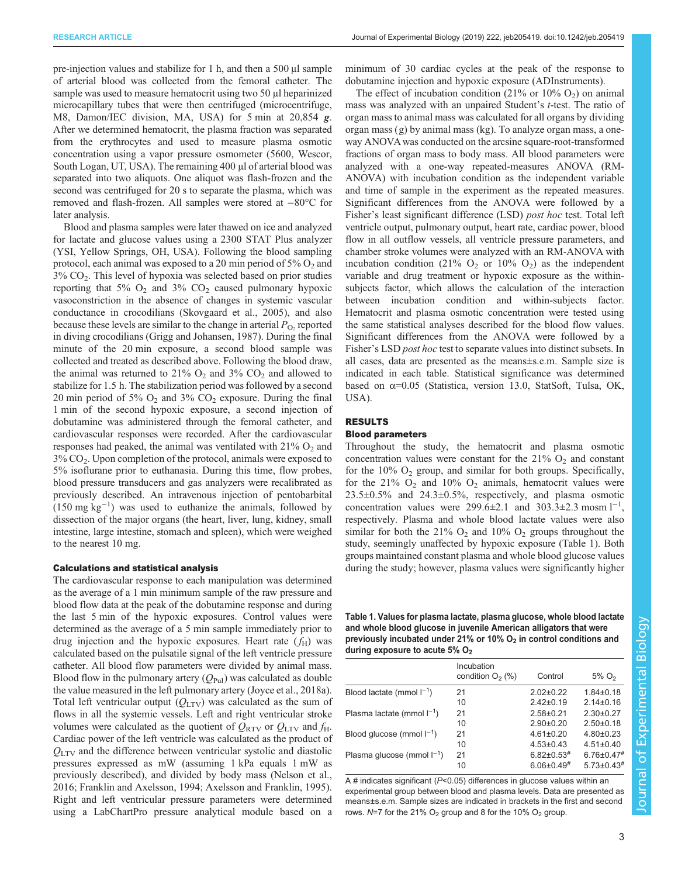<span id="page-2-0"></span>pre-injection values and stabilize for 1 h, and then a 500 μl sample of arterial blood was collected from the femoral catheter. The sample was used to measure hematocrit using two 50 μl heparinized microcapillary tubes that were then centrifuged (microcentrifuge, M8, Damon/IEC division, MA, USA) for 5 min at 20,854 g. After we determined hematocrit, the plasma fraction was separated from the erythrocytes and used to measure plasma osmotic concentration using a vapor pressure osmometer (5600, Wescor, South Logan, UT, USA). The remaining 400 μl of arterial blood was separated into two aliquots. One aliquot was flash-frozen and the second was centrifuged for 20 s to separate the plasma, which was removed and flash-frozen. All samples were stored at −80°C for later analysis.

Blood and plasma samples were later thawed on ice and analyzed for lactate and glucose values using a 2300 STAT Plus analyzer (YSI, Yellow Springs, OH, USA). Following the blood sampling protocol, each animal was exposed to a 20 min period of  $5\%$  O<sub>2</sub> and  $3\%$  CO<sub>2</sub>. This level of hypoxia was selected based on prior studies reporting that 5%  $O_2$  and 3%  $CO_2$  caused pulmonary hypoxic vasoconstriction in the absence of changes in systemic vascular conductance in crocodilians [\(Skovgaard et al., 2005](#page-11-0)), and also because these levels are similar to the change in arterial  $P_{\text{O}_2}$  reported in diving crocodilians ([Grigg and Johansen, 1987\)](#page-10-0). During the final minute of the 20 min exposure, a second blood sample was collected and treated as described above. Following the blood draw, the animal was returned to 21%  $O_2$  and 3%  $CO_2$  and allowed to stabilize for 1.5 h. The stabilization period was followed by a second 20 min period of 5%  $O_2$  and 3%  $CO_2$  exposure. During the final 1 min of the second hypoxic exposure, a second injection of dobutamine was administered through the femoral catheter, and cardiovascular responses were recorded. After the cardiovascular responses had peaked, the animal was ventilated with  $21\%$  O<sub>2</sub> and  $3\%$  CO<sub>2</sub>. Upon completion of the protocol, animals were exposed to 5% isoflurane prior to euthanasia. During this time, flow probes, blood pressure transducers and gas analyzers were recalibrated as previously described. An intravenous injection of pentobarbital  $(150 \text{ mg kg}^{-1})$  was used to euthanize the animals, followed by dissection of the major organs (the heart, liver, lung, kidney, small intestine, large intestine, stomach and spleen), which were weighed to the nearest 10 mg.

## Calculations and statistical analysis

The cardiovascular response to each manipulation was determined as the average of a 1 min minimum sample of the raw pressure and blood flow data at the peak of the dobutamine response and during the last 5 min of the hypoxic exposures. Control values were determined as the average of a 5 min sample immediately prior to drug injection and the hypoxic exposures. Heart rate  $(f_H)$  was calculated based on the pulsatile signal of the left ventricle pressure catheter. All blood flow parameters were divided by animal mass. Blood flow in the pulmonary artery  $(Q_{\text{Pul}})$  was calculated as double the value measured in the left pulmonary artery [\(Joyce et al., 2018a\)](#page-10-0). Total left ventricular output  $(Q_{\text{LTV}})$  was calculated as the sum of flows in all the systemic vessels. Left and right ventricular stroke volumes were calculated as the quotient of  $Q_{\text{RTV}}$  or  $Q_{\text{LTV}}$  and  $f_{\text{H}}$ . Cardiac power of the left ventricle was calculated as the product of  $Q<sub>LTV</sub>$  and the difference between ventricular systolic and diastolic pressures expressed as mW (assuming 1 kPa equals 1 mW as previously described), and divided by body mass ([Nelson et al.,](#page-10-0) [2016](#page-10-0); [Franklin and Axelsson, 1994;](#page-10-0) [Axelsson and Franklin, 1995\)](#page-9-0). Right and left ventricular pressure parameters were determined using a LabChartPro pressure analytical module based on a

minimum of 30 cardiac cycles at the peak of the response to dobutamine injection and hypoxic exposure (ADInstruments).

The effect of incubation condition  $(21\% \text{ or } 10\% \text{ O}_2)$  on animal mass was analyzed with an unpaired Student's t-test. The ratio of organ mass to animal mass was calculated for all organs by dividing organ mass (g) by animal mass (kg). To analyze organ mass, a oneway ANOVA was conducted on the arcsine square-root-transformed fractions of organ mass to body mass. All blood parameters were analyzed with a one-way repeated-measures ANOVA (RM-ANOVA) with incubation condition as the independent variable and time of sample in the experiment as the repeated measures. Significant differences from the ANOVA were followed by a Fisher's least significant difference (LSD) post hoc test. Total left ventricle output, pulmonary output, heart rate, cardiac power, blood flow in all outflow vessels, all ventricle pressure parameters, and chamber stroke volumes were analyzed with an RM-ANOVA with incubation condition (21%  $O_2$  or 10%  $O_2$ ) as the independent variable and drug treatment or hypoxic exposure as the withinsubjects factor, which allows the calculation of the interaction between incubation condition and within-subjects factor. Hematocrit and plasma osmotic concentration were tested using the same statistical analyses described for the blood flow values. Significant differences from the ANOVA were followed by a Fisher's LSD post hoc test to separate values into distinct subsets. In all cases, data are presented as the means±s.e.m. Sample size is indicated in each table. Statistical significance was determined based on α=0.05 (Statistica, version 13.0, StatSoft, Tulsa, OK, USA).

# RESULTS

#### Blood parameters

Throughout the study, the hematocrit and plasma osmotic concentration values were constant for the  $21\%$  O<sub>2</sub> and constant for the  $10\%$  O<sub>2</sub> group, and similar for both groups. Specifically, for the 21%  $O_2$  and 10%  $O_2$  animals, hematocrit values were 23.5±0.5% and 24.3±0.5%, respectively, and plasma osmotic concentration values were 299.6±2.1 and 303.3±2.3 mosm  $1^{-1}$ , respectively. Plasma and whole blood lactate values were also similar for both the 21%  $O_2$  and 10%  $O_2$  groups throughout the study, seemingly unaffected by hypoxic exposure (Table 1). Both groups maintained constant plasma and whole blood glucose values during the study; however, plasma values were significantly higher

Table 1. Values for plasma lactate, plasma glucose, whole blood lactate and whole blood glucose in juvenile American alligators that were previously incubated under 21% or 10%  $O<sub>2</sub>$  in control conditions and during exposure to acute 5%  $O<sub>2</sub>$ 

| Incubation<br>condition $O2(\%)$ | Control                      | 5% O <sub>2</sub>            |
|----------------------------------|------------------------------|------------------------------|
| 21                               | $2.02 \pm 0.22$              | $1.84 \pm 0.18$              |
| 10                               | $2.42 \pm 0.19$              | $2.14 \pm 0.16$              |
| 21                               | $2.58 \pm 0.21$              | $2.30\pm0.27$                |
| 10                               | $2.90+0.20$                  | $2.50 \pm 0.18$              |
| 21                               | $4.61 \pm 0.20$              | $4.80 \pm 0.23$              |
| 10                               | $4.53 \pm 0.43$              | $4.51 \pm 0.40$              |
| 21                               | $6.82 \pm 0.53$ #            | $6.76 \pm 0.47$ #            |
| 10                               | $6.06 \pm 0.49$ <sup>#</sup> | $5.73 \pm 0.43$ <sup>#</sup> |
|                                  |                              |                              |

A # indicates significant ( $P$ <0.05) differences in glucose values within an experimental group between blood and plasma levels. Data are presented as means±s.e.m. Sample sizes are indicated in brackets in the first and second rows.  $N=7$  for the 21% O<sub>2</sub> group and 8 for the 10% O<sub>2</sub> group.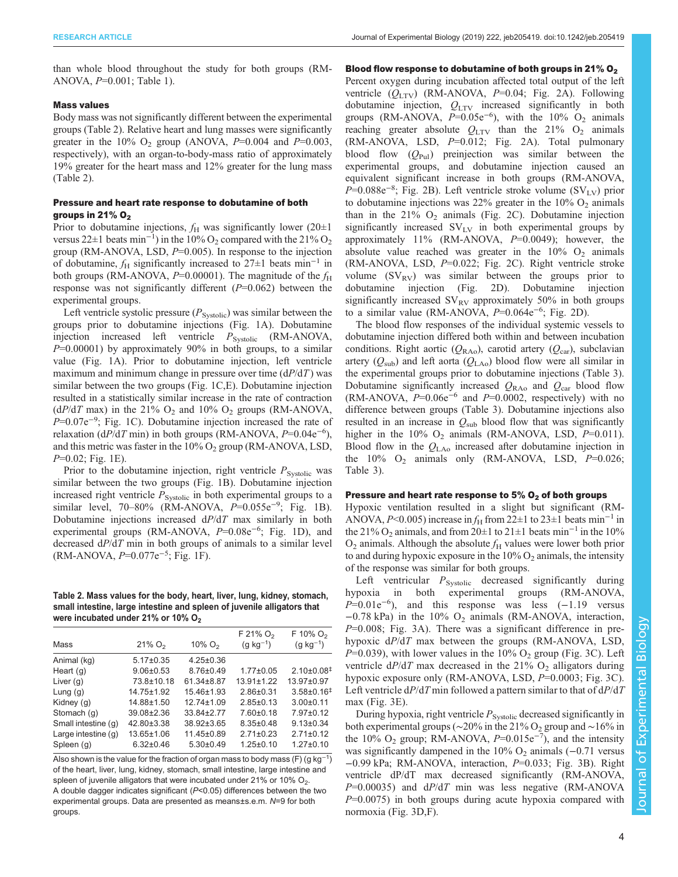<span id="page-3-0"></span>than whole blood throughout the study for both groups (RM-ANOVA, P=0.001; Table 1).

## Mass values

Body mass was not significantly different between the experimental groups (Table 2). Relative heart and lung masses were significantly greater in the 10%  $O_2$  group (ANOVA,  $P=0.004$  and  $P=0.003$ , respectively), with an organ-to-body-mass ratio of approximately 19% greater for the heart mass and 12% greater for the lung mass (Table 2).

# Pressure and heart rate response to dobutamine of both groups in 21%  $O<sub>2</sub>$

Prior to dobutamine injections,  $f_H$  was significantly lower (20 $\pm 1$ ) versus 22 $\pm$ 1 beats min<sup>-1</sup>) in the 10% O<sub>2</sub> compared with the 21% O<sub>2</sub> group (RM-ANOVA, LSD,  $P=0.005$ ). In response to the injection of dobutamine,  $f_H$  significantly increased to 27±1 beats min<sup>-1</sup> in both groups (RM-ANOVA,  $P=0.00001$ ). The magnitude of the  $f_H$ response was not significantly different  $(P=0.062)$  between the experimental groups.

Left ventricle systolic pressure  $(P_{\text{Systolic}})$  was similar between the groups prior to dobutamine injections [\(Fig. 1A](#page-4-0)). Dobutamine injection increased left ventricle  $P_{\text{Systolic}}$  (RM-ANOVA,  $P=0.00001$ ) by approximately 90% in both groups, to a similar value [\(Fig. 1A](#page-4-0)). Prior to dobutamine injection, left ventricle maximum and minimum change in pressure over time  $(dP/dT)$  was similar between the two groups ([Fig. 1](#page-4-0)C,E). Dobutamine injection resulted in a statistically similar increase in the rate of contraction  $(dP/dT \text{ max})$  in the 21% O<sub>2</sub> and 10% O<sub>2</sub> groups (RM-ANOVA, P=0.07e<sup>-9</sup>; [Fig. 1](#page-4-0)C). Dobutamine injection increased the rate of relaxation (dP/dT min) in both groups (RM-ANOVA,  $P=0.04e^{-6}$ ), and this metric was faster in the  $10\%$  O<sub>2</sub> group (RM-ANOVA, LSD,  $P=0.02$ ; [Fig. 1](#page-4-0)E).

Prior to the dobutamine injection, right ventricle  $P_{\text{Systolic}}$  was similar between the two groups ([Fig. 1](#page-4-0)B). Dobutamine injection increased right ventricle  $P_{\text{Systolic}}$  in both experimental groups to a similar level, 70–80% (RM-ANOVA,  $P=0.055e^{-9}$ ; [Fig. 1](#page-4-0)B). Dobutamine injections increased  $dP/dT$  max similarly in both experimental groups (RM-ANOVA,  $P=0.08e^{-6}$ ; [Fig. 1D](#page-4-0)), and decreased  $dP/dT$  min in both groups of animals to a similar level (RM-ANOVA, P=0.077e−<sup>5</sup> ; [Fig. 1F](#page-4-0)).

Table 2. Mass values for the body, heart, liver, lung, kidney, stomach, small intestine, large intestine and spleen of juvenile alligators that were incubated under 21% or 10%  $O<sub>2</sub>$ 

| Mass                  | $21\%$ O <sub>2</sub> | $10\%$ O <sub>2</sub> | $F$ 21% $O2$<br>$(g kg^{-1})$ | $F$ 10% O <sub>2</sub><br>$(g kg^{-1})$ |
|-----------------------|-----------------------|-----------------------|-------------------------------|-----------------------------------------|
| Animal (kg)           | $5.17 \pm 0.35$       | $4.25 \pm 0.36$       |                               |                                         |
| Heart $(q)$           | $9.06 \pm 0.53$       | $8.76 \pm 0.49$       | $1.77 \pm 0.05$               | $2.10\pm0.08$ <sup>‡</sup>              |
| Liver $(g)$           | 73.8±10.18            | 61.34±8.87            | $13.91 \pm 1.22$              | 13.97±0.97                              |
| Lung $(q)$            | 14.75±1.92            | $15.46 \pm 1.93$      | $2.86 \pm 0.31$               | $3.58\pm0.16$ <sup>‡</sup>              |
| Kidney (q)            | 14.88±1.50            | $12.74 \pm 1.09$      | $2.85 \pm 0.13$               | $3.00 + 0.11$                           |
| Stomach (q)           | 39.08±2.36            | 33.84±2.77            | $7.60 \pm 0.18$               | $7.97 \pm 0.12$                         |
| Small intestine (q)   | 42.80±3.38            | 38.92±3.65            | $8.35 \pm 0.48$               | $9.13 \pm 0.34$                         |
| Large intestine $(q)$ | 13.65±1.06            | 11.45±0.89            | $2.71 \pm 0.23$               | $2.71 \pm 0.12$                         |
| Spleen (g)            | $6.32 \pm 0.46$       | $5.30\pm0.49$         | $1.25 \pm 0.10$               | $1.27 \pm 0.10$                         |

Also shown is the value for the fraction of organ mass to body mass (F) (g kg $^{-1})$ of the heart, liver, lung, kidney, stomach, small intestine, large intestine and spleen of juvenile alligators that were incubated under 21% or 10%  $O_2$ . A double dagger indicates significant (P<0.05) differences between the two experimental groups. Data are presented as means±s.e.m. N=9 for both groups.

# Blood flow response to dobutamine of both groups in 21%  $O<sub>2</sub>$

Percent oxygen during incubation affected total output of the left ventricle  $(Q_{\text{LTV}})$  (RM-ANOVA, P=0.04; [Fig. 2](#page-5-0)A). Following dobutamine injection,  $Q_{\text{LTV}}$  increased significantly in both groups (RM-ANOVA,  $P=0.05e^{-6}$ ), with the 10% O<sub>2</sub> animals reaching greater absolute  $Q_{\text{LTV}}$  than the 21%  $O_2$  animals (RM-ANOVA, LSD, P=0.012; [Fig. 2](#page-5-0)A). Total pulmonary blood flow  $(Q_{Pul})$  preinjection was similar between the experimental groups, and dobutamine injection caused an equivalent significant increase in both groups (RM-ANOVA, P=0.088e<sup>-8</sup>; [Fig. 2B](#page-5-0)). Left ventricle stroke volume (SV<sub>LV</sub>) prior to dobutamine injections was  $22\%$  greater in the 10%  $O_2$  animals than in the  $21\%$  O<sub>2</sub> animals ([Fig. 2](#page-5-0)C). Dobutamine injection significantly increased  $SV_{LV}$  in both experimental groups by approximately  $11\%$  (RM-ANOVA,  $P=0.0049$ ); however, the absolute value reached was greater in the  $10\%$  O<sub>2</sub> animals (RM-ANOVA, LSD, P=0.022; [Fig. 2](#page-5-0)C). Right ventricle stroke volume  $(SV_{RV})$  was similar between the groups prior to dobutamine injection ([Fig. 2](#page-5-0)D). Dobutamine injection significantly increased  $SV_{RV}$  approximately 50% in both groups to a similar value (RM-ANOVA,  $P=0.064e^{-6}$ ; [Fig. 2](#page-5-0)D).

The blood flow responses of the individual systemic vessels to dobutamine injection differed both within and between incubation conditions. Right aortic ( $Q_{\text{RAo}}$ ), carotid artery ( $Q_{\text{car}}$ ), subclavian artery  $(Q_{sub})$  and left aorta  $(Q_{LAo})$  blood flow were all similar in the experimental groups prior to dobutamine injections [\(Table 3\)](#page-5-0). Dobutamine significantly increased  $Q_{\text{RAo}}$  and  $Q_{\text{car}}$  blood flow (RM-ANOVA,  $P=0.06e^{-6}$  and  $P=0.0002$ , respectively) with no difference between groups [\(Table 3\)](#page-5-0). Dobutamine injections also resulted in an increase in  $Q_{sub}$  blood flow that was significantly higher in the 10%  $O_2$  animals (RM-ANOVA, LSD,  $P=0.011$ ). Blood flow in the  $Q_{\text{LAo}}$  increased after dobutamine injection in the  $10\%$  O<sub>2</sub> animals only (RM-ANOVA, LSD,  $P=0.026$ ; [Table 3\)](#page-5-0).

## Pressure and heart rate response to  $5\%$  O<sub>2</sub> of both groups

Hypoxic ventilation resulted in a slight but significant (RM-ANOVA, P<0.005) increase in  $f_H$  from 22±1 to 23±1 beats min<sup>-1</sup> in the 21% O<sub>2</sub> animals, and from 20±1 to 21±1 beats min<sup>-1</sup> in the 10%  $O_2$  animals. Although the absolute  $f_H$  values were lower both prior to and during hypoxic exposure in the  $10\%$   $O_2$  animals, the intensity of the response was similar for both groups.

Left ventricular  $P_{\text{Svstolic}}$  decreased significantly during hypoxia in both experimental groups (RM-ANOVA,  $P=0.01e^{-6}$ ), and this response was less  $(-1.19)$  versus  $-0.78$  kPa) in the 10% O<sub>2</sub> animals (RM-ANOVA, interaction,  $P=0.008$ ; [Fig. 3](#page-6-0)A). There was a significant difference in prehypoxic  $dP/dT$  max between the groups (RM-ANOVA, LSD,  $P=0.039$ ), with lower values in the 10% O<sub>2</sub> group ([Fig. 3](#page-6-0)C). Left ventricle  $dP/dT$  max decreased in the 21%  $O<sub>2</sub>$  alligators during hypoxic exposure only (RM-ANOVA, LSD,  $P=0.0003$ ; [Fig. 3](#page-6-0)C). Left ventricle  $dP/dT$  min followed a pattern similar to that of  $dP/dT$ max [\(Fig. 3](#page-6-0)E).

During hypoxia, right ventricle  $P_{\text{Systolic}}$  decreased significantly in both experimental groups ( $\sim$ 20% in the 21% O<sub>2</sub> group and  $\sim$ 16% in the 10% O<sub>2</sub> group; RM-ANOVA,  $P=0.015e^{-7}$ ), and the intensity was significantly dampened in the  $10\%$  O<sub>2</sub> animals ( $-0.71$  versus −0.99 kPa; RM-ANOVA, interaction, P=0.033; [Fig. 3B](#page-6-0)). Right ventricle dP/dT max decreased significantly (RM-ANOVA,  $P=0.00035$ ) and  $dP/dT$  min was less negative (RM-ANOVA  $P=0.0075$ ) in both groups during acute hypoxia compared with normoxia ([Fig. 3](#page-6-0)D,F).

Journal of Experimental Biology

lournal of

Experimental Biology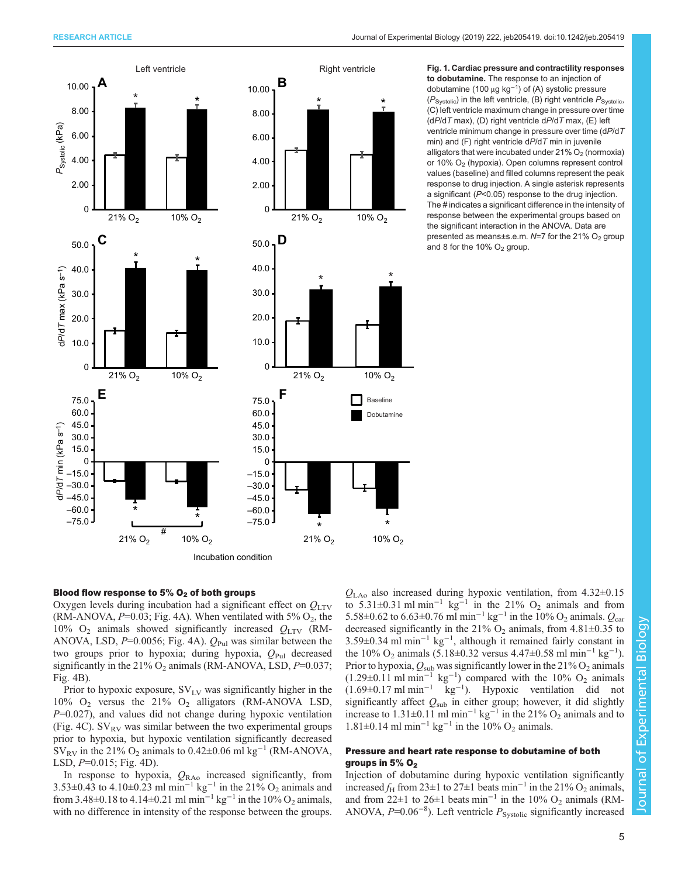<span id="page-4-0"></span>

to dobutamine. The response to an injection of dobutamine (100 μg kg−<sup>1</sup> ) of (A) systolic pressure  $(P_{\text{Svstolic}})$  in the left ventricle, (B) right ventricle  $P_{\text{Svstolic}}$ , (C) left ventricle maximum change in pressure over time  $(dP/dT \text{ max})$ , (D) right ventricle  $dP/dT \text{ max}$ , (E) left ventricle minimum change in pressure over time (dP/dT min) and (F) right ventricle  $dP/dT$  min in juvenile alligators that were incubated under  $21\%$  O<sub>2</sub> (normoxia) or 10% O2 (hypoxia). Open columns represent control values (baseline) and filled columns represent the peak response to drug injection. A single asterisk represents a significant (P<0.05) response to the drug injection. The # indicates a significant difference in the intensity of response between the experimental groups based on the significant interaction in the ANOVA. Data are presented as means±s.e.m.  $N=7$  for the 21% O<sub>2</sub> group and 8 for the 10%  $O<sub>2</sub>$  group.

# Blood flow response to 5%  $O<sub>2</sub>$  of both groups

Oxygen levels during incubation had a significant effect on  $Q_{\text{LTV}}$ (RM-ANOVA,  $P=0.03$ ; [Fig. 4](#page-7-0)A). When ventilated with 5%  $O_2$ , the 10%  $O_2$  animals showed significantly increased  $Q_{\text{LTV}}$  (RM-ANOVA, LSD,  $P=0.0056$ ; [Fig. 4](#page-7-0)A).  $Q_{\text{Pul}}$  was similar between the two groups prior to hypoxia; during hypoxia,  $Q_{\text{Pul}}$  decreased significantly in the 21%  $O_2$  animals (RM-ANOVA, LSD,  $P=0.037$ ; [Fig. 4](#page-7-0)B).

Prior to hypoxic exposure,  $SV_{LV}$  was significantly higher in the 10%  $O_2$  versus the 21%  $O_2$  alligators (RM-ANOVA LSD, P=0.027), and values did not change during hypoxic ventilation [\(Fig. 4](#page-7-0)C).  $SV_{RV}$  was similar between the two experimental groups prior to hypoxia, but hypoxic ventilation significantly decreased  $SV_{RV}$  in the 21% O<sub>2</sub> animals to 0.42±0.06 ml kg<sup>-1</sup> (RM-ANOVA, LSD, P=0.015; [Fig. 4](#page-7-0)D).

In response to hypoxia,  $Q_{\text{RAo}}$  increased significantly, from 3.53±0.43 to 4.10±0.23 ml min<sup>-1</sup> kg<sup>-1</sup> in the 21% O<sub>2</sub> animals and from 3.48±0.18 to 4.14±0.21 ml min<sup>-1</sup> kg<sup>-1</sup> in the 10% O<sub>2</sub> animals, with no difference in intensity of the response between the groups.

 $Q_{\text{LAo}}$  also increased during hypoxic ventilation, from 4.32 $\pm$ 0.15 to 5.31±0.31 ml min<sup>-1</sup> kg<sup>-1</sup> in the 21% O<sub>2</sub> animals and from 5.58±0.62 to 6.63±0.76 ml min<sup>-1</sup> kg<sup>-1</sup> in the 10% O<sub>2</sub> animals.  $Q_{\text{car}}$ decreased significantly in the 21%  $O_2$  animals, from 4.81 $\pm$ 0.35 to 3.59±0.34 ml min−<sup>1</sup> kg−<sup>1</sup> , although it remained fairly constant in the 10% O<sub>2</sub> animals (5.18±0.32 versus 4.47±0.58 ml min<sup>-1</sup> kg<sup>-1</sup>). Prior to hypoxia,  $Q_{sub}$  was significantly lower in the 21%  $O_2$  animals  $(1.29\pm0.11 \text{ m} \cdot \text{min}^{-1} \text{ kg}^{-1})$  compared with the 10% O<sub>2</sub> animals (1.69±0.17 ml min−<sup>1</sup> kg−<sup>1</sup> ). Hypoxic ventilation did not significantly affect  $Q_{sub}$  in either group; however, it did slightly increase to 1.31±0.11 ml min<sup>-1</sup> kg<sup>-1</sup> in the 21% O<sub>2</sub> animals and to 1.81±0.14 ml min<sup>-1</sup> kg<sup>-1</sup> in the 10% O<sub>2</sub> animals.

# Pressure and heart rate response to dobutamine of both groups in  $5\%$  O<sub>2</sub>

Injection of dobutamine during hypoxic ventilation significantly increased  $f_H$  from 23±1 to 27±1 beats min<sup>-1</sup> in the 21%  $\overline{O}_2$  animals, and from 22±1 to 26±1 beats min<sup>-1</sup> in the 10% O<sub>2</sub> animals (RM-ANOVA,  $P=0.06^{-8}$ ). Left ventricle  $P_{\text{Systolic}}$  significantly increased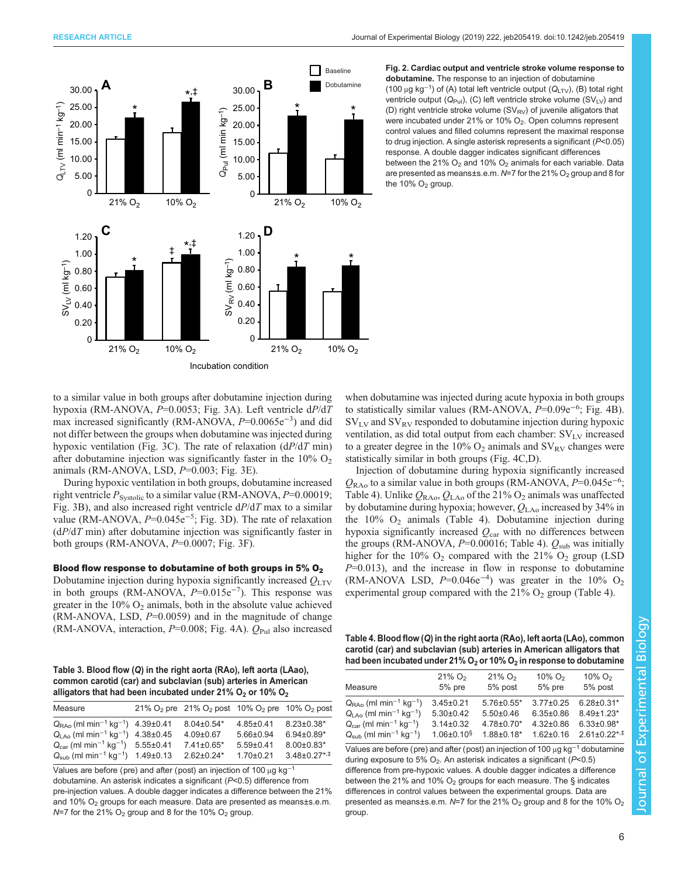<span id="page-5-0"></span>



Fig. 2. Cardiac output and ventricle stroke volume response to dobutamine. The response to an injection of dobutamine (100 μg kg<sup>-1</sup>) of (A) total left ventricle output ( $Q<sub>LTV</sub>$ ), (B) total right ventricle output  $(Q_{Pul})$ , (C) left ventricle stroke volume  $(SV_{LV})$  and (D) right ventricle stroke volume  $(SV_{RV})$  of juvenile alligators that were incubated under 21% or 10% O<sub>2</sub>. Open columns represent control values and filled columns represent the maximal response to drug injection. A single asterisk represents a significant (P<0.05) response. A double dagger indicates significant differences between the 21%  $O_2$  and 10%  $O_2$  animals for each variable. Data are presented as means±s.e.m.  $N=7$  for the 21% O<sub>2</sub> group and 8 for the 10%  $O<sub>2</sub>$  group.

to a similar value in both groups after dobutamine injection during hypoxia (RM-ANOVA, P=0.0053; [Fig. 3](#page-6-0)A). Left ventricle dP/dT max increased significantly (RM-ANOVA, P=0.0065e<sup>-3</sup>) and did not differ between the groups when dobutamine was injected during hypoxic ventilation [\(Fig. 3](#page-6-0)C). The rate of relaxation  $(dP/dT \text{ min})$ after dobutamine injection was significantly faster in the  $10\%$  O<sub>2</sub> animals (RM-ANOVA, LSD,  $P=0.003$ ; [Fig. 3](#page-6-0)E).

During hypoxic ventilation in both groups, dobutamine increased right ventricle  $P_{\text{Systolic}}$  to a similar value (RM-ANOVA,  $P=0.00019$ ; [Fig. 3](#page-6-0)B), and also increased right ventricle  $dP/dT$  max to a similar value (RM-ANOVA, P=0.045e<sup>-5</sup>; [Fig. 3](#page-6-0)D). The rate of relaxation  $(dP/dT \text{ min})$  after dobutamine injection was significantly faster in both groups (RM-ANOVA,  $P=0.0007$ ; [Fig. 3F](#page-6-0)).

# Blood flow response to dobutamine of both groups in  $5\%$  O<sub>2</sub>

Dobutamine injection during hypoxia significantly increased  $Q_{\text{LTV}}$ in both groups (RM-ANOVA,  $P=0.015e^{-7}$ ). This response was greater in the  $10\%$  O<sub>2</sub> animals, both in the absolute value achieved  $(RM-ANOVA, LSD, P=0.0059)$  and in the magnitude of change (RM-ANOVA, interaction,  $P=0.008$ ; [Fig. 4A](#page-7-0)).  $Q_{\text{Pul}}$  also increased

Table 3. Blood flow (Q) in the right aorta (RAo), left aorta (LAao), common carotid (car) and subclavian (sub) arteries in American alligators that had been incubated under 21%  $O_2$  or 10%  $O_2$ 

| Measure                                                              | 21% O <sub>2</sub> pre 21% O <sub>2</sub> post 10% O <sub>2</sub> pre 10% O <sub>2</sub> post |                 |                   |
|----------------------------------------------------------------------|-----------------------------------------------------------------------------------------------|-----------------|-------------------|
| $Q_{\text{RA}_0}$ (ml min <sup>-1</sup> kg <sup>-1</sup> ) 4.39±0.41 | $8.04 \pm 0.54*$                                                                              | $4.85 \pm 0.41$ | $8.23 \pm 0.38$ * |
| $Q1 A0$ (ml min <sup>-1</sup> kg <sup>-1</sup> ) 4.38±0.45           | $4.09 \pm 0.67$                                                                               | $5.66 \pm 0.94$ | $6.94\pm0.89*$    |
| $Q_{\text{car}}$ (ml min <sup>-1</sup> kg <sup>-1</sup> ) 5.55±0.41  | $7.41 \pm 0.65$ *                                                                             | $5.59 \pm 0.41$ | $8.00 \pm 0.83*$  |
| $Q_{\text{sub}}$ (ml min <sup>-1</sup> kg <sup>-1</sup> ) 1.49±0.13  | $2.62 \pm 0.24*$                                                                              | $1.70 \pm 0.21$ | $3.48\pm0.27**$   |

Values are before (pre) and after (post) an injection of 100 μg kg−<sup>1</sup> dobutamine. An asterisk indicates a significant (P<0.5) difference from pre-injection values. A double dagger indicates a difference between the 21% and 10%  $O<sub>2</sub>$  groups for each measure. Data are presented as means $\pm$ s.e.m.  $N=7$  for the 21% O<sub>2</sub> group and 8 for the 10% O<sub>2</sub> group.

when dobutamine was injected during acute hypoxia in both groups to statistically similar values (RM-ANOVA, P=0.09e<sup>-6</sup>; [Fig. 4](#page-7-0)B).  $SV_{LV}$  and  $SV_{RV}$  responded to dobutamine injection during hypoxic ventilation, as did total output from each chamber:  $SV_{LV}$  increased to a greater degree in the 10%  $O_2$  animals and  $SV_{RV}$  changes were statistically similar in both groups ([Fig. 4](#page-7-0)C,D).

Injection of dobutamine during hypoxia significantly increased  $Q_{\text{RAo}}$  to a similar value in both groups (RM-ANOVA,  $P=0.045e^{-6}$ ; Table 4). Unlike  $Q_{\text{RAo}}$ ,  $Q_{\text{LAo}}$  of the 21%  $O_2$  animals was unaffected by dobutamine during hypoxia; however,  $Q_{LAo}$  increased by 34% in the  $10\%$  O<sub>2</sub> animals (Table 4). Dobutamine injection during hypoxia significantly increased  $Q<sub>car</sub>$  with no differences between the groups (RM-ANOVA,  $P=0.00016$ ; Table 4).  $Q_{sub}$  was initially higher for the  $10\%$  O<sub>2</sub> compared with the  $21\%$  O<sub>2</sub> group (LSD  $P=0.013$ ), and the increase in flow in response to dobutamine (RM-ANOVA LSD,  $P=0.046e^{-4}$ ) was greater in the 10% O<sub>2</sub> experimental group compared with the  $21\%$  O<sub>2</sub> group (Table 4).

Table 4. Blood flow (Q) in the right aorta (RAo), left aorta (LAo), common carotid (car) and subclavian (sub) arteries in American alligators that had been incubated under 21%  $O<sub>2</sub>$  or 10%  $O<sub>2</sub>$  in response to dobutamine

| Measure                                                   | $21\%$ O <sub>2</sub> | $21\%$ O <sub>2</sub> | $10\%$ O <sub>2</sub> | $10\%$ O <sub>2</sub>          |
|-----------------------------------------------------------|-----------------------|-----------------------|-----------------------|--------------------------------|
|                                                           | $5%$ pre              | 5% post               | $5%$ pre              | 5% post                        |
| $Q_{\text{RAo}}$ (ml min <sup>-1</sup> kg <sup>-1</sup> ) | $3.45 \pm 0.21$       | $5.76 \pm 0.55$ *     | $3.77 \pm 0.25$       | $6.28 \pm 0.31*$               |
| $Q_{1,40}$ (ml min <sup>-1</sup> kg <sup>-1</sup> )       | $5.30 \pm 0.42$       | $5.50+0.46$           | $6.35 \pm 0.86$       | $8.49 \pm 1.23$ *              |
| $Q_{car}$ (ml min <sup>-1</sup> kg <sup>-1</sup> )        | $3.14 \pm 0.32$       | $4.78 \pm 0.70$ *     | $4.32 \pm 0.86$       | $6.33 \pm 0.98$ *              |
| $Q_{sub}$ (ml min <sup>-1</sup> kg <sup>-1</sup> )        | $1.06 \pm 0.10$ s     | $1.88 \pm 0.18^*$     | $1.62 \pm 0.16$       | $2.61 \pm 0.22$ * <sup>+</sup> |

Values are before (pre) and after (post) an injection of 100 μg kg−<sup>1</sup> dobutamine during exposure to 5%  $O_2$ . An asterisk indicates a significant ( $P$ <0.5) difference from pre-hypoxic values. A double dagger indicates a difference between the 21% and 10%  $O_2$  groups for each measure. The § indicates differences in control values between the experimental groups. Data are presented as means±s.e.m.  $N=7$  for the 21% O<sub>2</sub> group and 8 for the 10% O<sub>2</sub> group.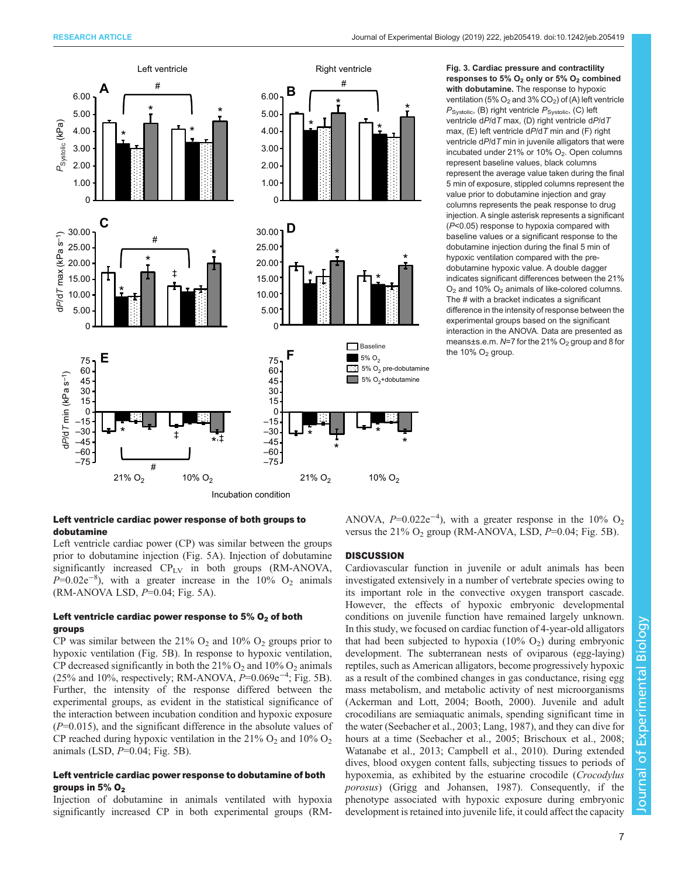<span id="page-6-0"></span>

## responses to 5%  $O_2$  only or 5%  $O_2$  combined with dobutamine. The response to hypoxic ventilation (5%  $O_2$  and 3%  $CO_2$ ) of (A) left ventricle  $P_{\text{Systolic}}$ , (B) right ventricle  $P_{\text{Systolic}}$ , (C) left ventricle dP/dT max, (D) right ventricle dP/dT max,  $(E)$  left ventricle d $P$ /dT min and  $(F)$  right ventricle dP/dT min in juvenile alligators that were incubated under 21% or 10%  $O_2$ . Open columns represent baseline values, black columns represent the average value taken during the final 5 min of exposure, stippled columns represent the value prior to dobutamine injection and gray columns represents the peak response to drug injection. A single asterisk represents a significant (P<0.05) response to hypoxia compared with baseline values or a significant response to the dobutamine injection during the final 5 min of hypoxic ventilation compared with the predobutamine hypoxic value. A double dagger indicates significant differences between the 21%  $O<sub>2</sub>$  and 10%  $O<sub>2</sub>$  animals of like-colored columns. The # with a bracket indicates a significant difference in the intensity of response between the experimental groups based on the significant interaction in the ANOVA. Data are presented as means±s.e.m.  $N=7$  for the 21%  $O<sub>2</sub>$  group and 8 for the  $10\%$  O<sub>2</sub> group.

Left ventricle cardiac power response of both groups to dobutamine

Left ventricle cardiac power (CP) was similar between the groups prior to dobutamine injection [\(Fig. 5](#page-8-0)A). Injection of dobutamine significantly increased  $CP_{LV}$  in both groups (RM-ANOVA,  $P=0.02e^{-8}$ , with a greater increase in the 10% O<sub>2</sub> animals  $(RM-ANOVA LSD, P=0.04; Fig. 5A).$  $(RM-ANOVA LSD, P=0.04; Fig. 5A).$  $(RM-ANOVA LSD, P=0.04; Fig. 5A).$ 

# Left ventricle cardiac power response to  $5\%$  O<sub>2</sub> of both groups

CP was similar between the 21%  $O_2$  and 10%  $O_2$  groups prior to hypoxic ventilation [\(Fig. 5](#page-8-0)B). In response to hypoxic ventilation, CP decreased significantly in both the  $21\%$  O<sub>2</sub> and  $10\%$  O<sub>2</sub> animals (25% and 10%, respectively; RM-ANOVA,  $P=0.069e^{-4}$ ; [Fig. 5](#page-8-0)B). Further, the intensity of the response differed between the experimental groups, as evident in the statistical significance of the interaction between incubation condition and hypoxic exposure  $(P=0.015)$ , and the significant difference in the absolute values of CP reached during hypoxic ventilation in the  $21\%$  O<sub>2</sub> and  $10\%$  O<sub>2</sub> animals (LSD,  $P=0.04$ ; [Fig. 5](#page-8-0)B).

# Left ventricle cardiac power response to dobutamine of both groups in 5%  $O<sub>2</sub>$

Injection of dobutamine in animals ventilated with hypoxia significantly increased CP in both experimental groups (RM- ANOVA,  $P=0.022e^{-4}$ ), with a greater response in the 10% O<sub>2</sub> versus the  $21\%$  O<sub>2</sub> group (RM-ANOVA, LSD,  $P=0.04$ ; [Fig. 5B](#page-8-0)).

## **DISCUSSION**

Cardiovascular function in juvenile or adult animals has been investigated extensively in a number of vertebrate species owing to its important role in the convective oxygen transport cascade. However, the effects of hypoxic embryonic developmental conditions on juvenile function have remained largely unknown. In this study, we focused on cardiac function of 4-year-old alligators that had been subjected to hypoxia  $(10\% \text{ O}_2)$  during embryonic development. The subterranean nests of oviparous (egg-laying) reptiles, such as American alligators, become progressively hypoxic as a result of the combined changes in gas conductance, rising egg mass metabolism, and metabolic activity of nest microorganisms [\(Ackerman and Lott, 2004; Booth, 2000\)](#page-9-0). Juvenile and adult crocodilians are semiaquatic animals, spending significant time in the water ([Seebacher et al., 2003;](#page-11-0) [Lang, 1987](#page-10-0)), and they can dive for hours at a time [\(Seebacher et al., 2005;](#page-11-0) [Brischoux et al., 2008](#page-9-0); [Watanabe et al., 2013;](#page-11-0) [Campbell et al., 2010](#page-9-0)). During extended dives, blood oxygen content falls, subjecting tissues to periods of hypoxemia, as exhibited by the estuarine crocodile (Crocodylus porosus) ([Grigg and Johansen, 1987\)](#page-10-0). Consequently, if the phenotype associated with hypoxic exposure during embryonic development is retained into juvenile life, it could affect the capacity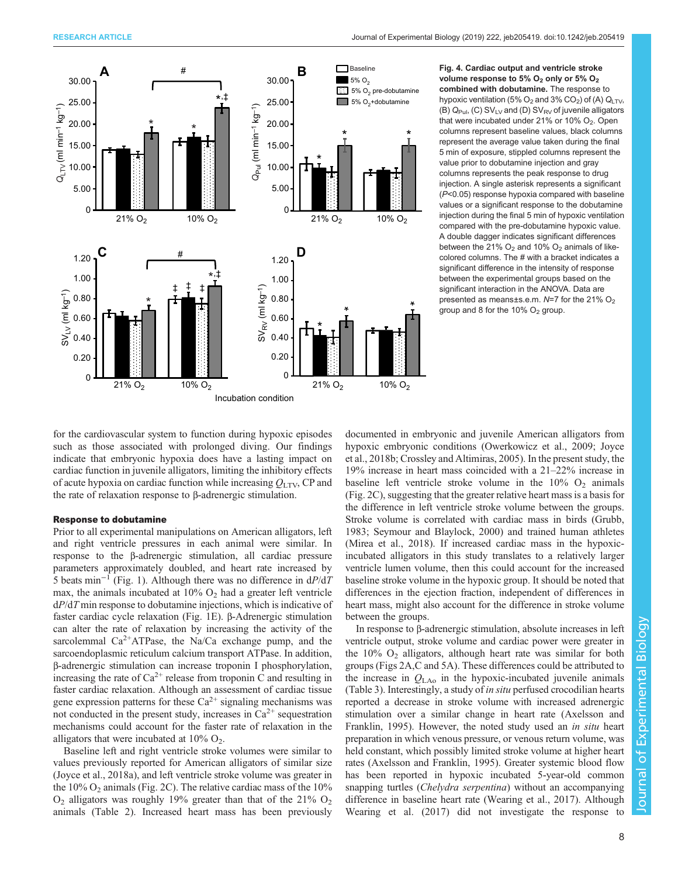<span id="page-7-0"></span>

Fig. 4. Cardiac output and ventricle stroke volume response to 5%  $O_2$  only or 5%  $O_2$ combined with dobutamine. The response to hypoxic ventilation (5%  $O_2$  and 3%  $CO_2$ ) of (A)  $Q<sub>LTV</sub>$ , (B)  $Q_{Pul}$ , (C) SV<sub>LV</sub> and (D) SV<sub>RV</sub> of juvenile alligators that were incubated under  $21\%$  or  $10\%$  O<sub>2</sub>. Open columns represent baseline values, black columns represent the average value taken during the final 5 min of exposure, stippled columns represent the value prior to dobutamine injection and gray columns represents the peak response to drug injection. A single asterisk represents a significant (P<0.05) response hypoxia compared with baseline values or a significant response to the dobutamine injection during the final 5 min of hypoxic ventilation compared with the pre-dobutamine hypoxic value. A double dagger indicates significant differences between the 21%  $O_2$  and 10%  $O_2$  animals of likecolored columns. The # with a bracket indicates a significant difference in the intensity of response between the experimental groups based on the significant interaction in the ANOVA. Data are presented as means±s.e.m.  $N=7$  for the 21%  $O_2$ group and 8 for the 10%  $O<sub>2</sub>$  group.

for the cardiovascular system to function during hypoxic episodes such as those associated with prolonged diving. Our findings indicate that embryonic hypoxia does have a lasting impact on cardiac function in juvenile alligators, limiting the inhibitory effects of acute hypoxia on cardiac function while increasing  $Q_{\text{LTV}}$ , CP and the rate of relaxation response to β-adrenergic stimulation.

#### Response to dobutamine

Prior to all experimental manipulations on American alligators, left and right ventricle pressures in each animal were similar. In response to the β-adrenergic stimulation, all cardiac pressure parameters approximately doubled, and heart rate increased by 5 beats min<sup>-1</sup> ([Fig. 1](#page-4-0)). Although there was no difference in  $dP/dT$ max, the animals incubated at  $10\%$  O<sub>2</sub> had a greater left ventricle  $dP/dT$  min response to dobutamine injections, which is indicative of faster cardiac cycle relaxation ([Fig. 1E](#page-4-0)). β-Adrenergic stimulation can alter the rate of relaxation by increasing the activity of the sarcolemmal  $Ca^{2+}ATP$ ase, the Na/Ca exchange pump, and the sarcoendoplasmic reticulum calcium transport ATPase. In addition, β-adrenergic stimulation can increase troponin I phosphorylation, increasing the rate of  $Ca^{2+}$  release from troponin C and resulting in faster cardiac relaxation. Although an assessment of cardiac tissue gene expression patterns for these  $Ca^{2+}$  signaling mechanisms was not conducted in the present study, increases in  $Ca^{2+}$  sequestration mechanisms could account for the faster rate of relaxation in the alligators that were incubated at  $10\%$  O<sub>2</sub>.

Baseline left and right ventricle stroke volumes were similar to values previously reported for American alligators of similar size [\(Joyce et al., 2018a\)](#page-10-0), and left ventricle stroke volume was greater in the  $10\%$  O<sub>2</sub> animals ([Fig. 2](#page-5-0)C). The relative cardiac mass of the  $10\%$  $O_2$  alligators was roughly 19% greater than that of the 21%  $O_2$ animals ([Table 2](#page-3-0)). Increased heart mass has been previously

documented in embryonic and juvenile American alligators from hypoxic embryonic conditions ([Owerkowicz et al., 2009; Joyce](#page-10-0) [et al., 2018b](#page-10-0); [Crossley and Altimiras, 2005\)](#page-10-0). In the present study, the 19% increase in heart mass coincided with a 21–22% increase in baseline left ventricle stroke volume in the  $10\%$  O<sub>2</sub> animals [\(Fig. 2C](#page-5-0)), suggesting that the greater relative heart mass is a basis for the difference in left ventricle stroke volume between the groups. Stroke volume is correlated with cardiac mass in birds [\(Grubb,](#page-10-0) [1983;](#page-10-0) [Seymour and Blaylock, 2000\)](#page-11-0) and trained human athletes [\(Mirea et al., 2018\)](#page-10-0). If increased cardiac mass in the hypoxicincubated alligators in this study translates to a relatively larger ventricle lumen volume, then this could account for the increased baseline stroke volume in the hypoxic group. It should be noted that differences in the ejection fraction, independent of differences in heart mass, might also account for the difference in stroke volume between the groups.

In response to β-adrenergic stimulation, absolute increases in left ventricle output, stroke volume and cardiac power were greater in the  $10\%$  O<sub>2</sub> alligators, although heart rate was similar for both groups ([Figs 2](#page-5-0)A,C and [5](#page-8-0)A). These differences could be attributed to the increase in  $Q_{\text{LAo}}$  in the hypoxic-incubated juvenile animals [\(Table 3\)](#page-5-0). Interestingly, a study of in situ perfused crocodilian hearts reported a decrease in stroke volume with increased adrenergic stimulation over a similar change in heart rate [\(Axelsson and](#page-9-0) [Franklin, 1995\)](#page-9-0). However, the noted study used an in situ heart preparation in which venous pressure, or venous return volume, was held constant, which possibly limited stroke volume at higher heart rates ([Axelsson and Franklin, 1995](#page-9-0)). Greater systemic blood flow has been reported in hypoxic incubated 5-year-old common snapping turtles (Chelydra serpentina) without an accompanying difference in baseline heart rate [\(Wearing et al., 2017](#page-11-0)). Although [Wearing et al. \(2017\)](#page-11-0) did not investigate the response to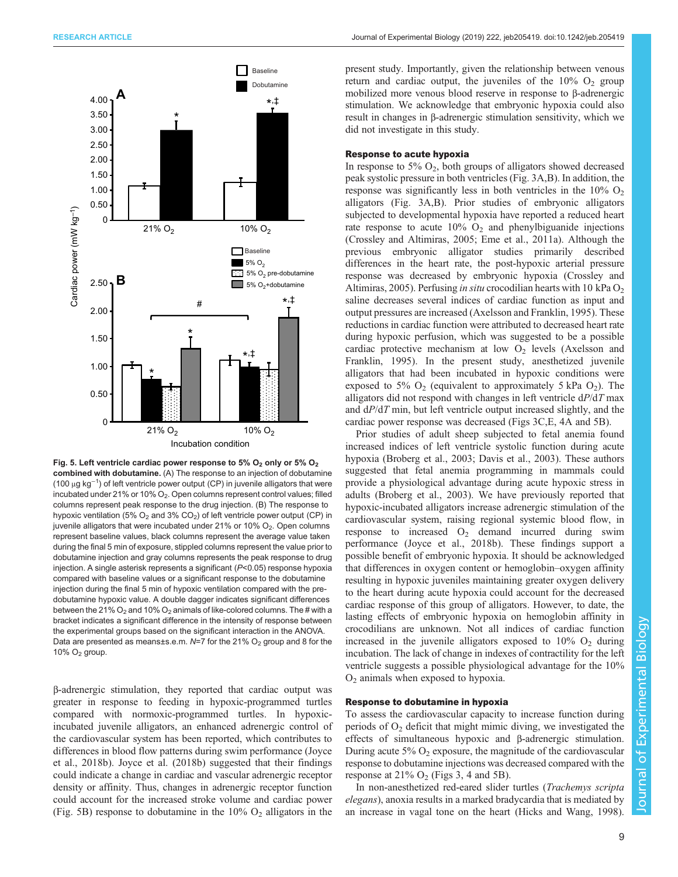<span id="page-8-0"></span>

Fig. 5. Left ventricle cardiac power response to 5%  $O_2$  only or 5%  $O_2$ combined with dobutamine. (A) The response to an injection of dobutamine (100 μg kg<sup>-1</sup>) of left ventricle power output (CP) in juvenile alligators that were incubated under 21% or 10%  $O_2$ . Open columns represent control values; filled columns represent peak response to the drug injection. (B) The response to hypoxic ventilation (5%  $O_2$  and 3%  $CO_2$ ) of left ventricle power output (CP) in juvenile alligators that were incubated under 21% or 10%  $O<sub>2</sub>$ . Open columns represent baseline values, black columns represent the average value taken during the final 5 min of exposure, stippled columns represent the value prior to dobutamine injection and gray columns represents the peak response to drug injection. A single asterisk represents a significant (P<0.05) response hypoxia compared with baseline values or a significant response to the dobutamine injection during the final 5 min of hypoxic ventilation compared with the predobutamine hypoxic value. A double dagger indicates significant differences between the 21%  $O_2$  and 10%  $O_2$  animals of like-colored columns. The # with a bracket indicates a significant difference in the intensity of response between the experimental groups based on the significant interaction in the ANOVA. Data are presented as means±s.e.m.  $N=7$  for the 21% O<sub>2</sub> group and 8 for the 10%  $O<sub>2</sub>$  group.

β-adrenergic stimulation, they reported that cardiac output was greater in response to feeding in hypoxic-programmed turtles compared with normoxic-programmed turtles. In hypoxicincubated juvenile alligators, an enhanced adrenergic control of the cardiovascular system has been reported, which contributes to differences in blood flow patterns during swim performance [\(Joyce](#page-10-0) [et al., 2018b\)](#page-10-0). [Joyce et al. \(2018b\)](#page-10-0) suggested that their findings could indicate a change in cardiac and vascular adrenergic receptor density or affinity. Thus, changes in adrenergic receptor function could account for the increased stroke volume and cardiac power (Fig. 5B) response to dobutamine in the  $10\%$  O<sub>2</sub> alligators in the

present study. Importantly, given the relationship between venous return and cardiac output, the juveniles of the  $10\%$  O<sub>2</sub> group mobilized more venous blood reserve in response to β-adrenergic stimulation. We acknowledge that embryonic hypoxia could also result in changes in β-adrenergic stimulation sensitivity, which we did not investigate in this study.

## Response to acute hypoxia

In response to 5%  $O_2$ , both groups of alligators showed decreased peak systolic pressure in both ventricles [\(Fig. 3A](#page-6-0),B). In addition, the response was significantly less in both ventricles in the  $10\%$  O<sub>2</sub> alligators [\(Fig. 3A](#page-6-0),B). Prior studies of embryonic alligators subjected to developmental hypoxia have reported a reduced heart rate response to acute  $10\%$  O<sub>2</sub> and phenylbiguanide injections [\(Crossley and Altimiras, 2005](#page-10-0); [Eme et al., 2011a](#page-10-0)). Although the previous embryonic alligator studies primarily described differences in the heart rate, the post-hypoxic arterial pressure response was decreased by embryonic hypoxia [\(Crossley and](#page-10-0) [Altimiras, 2005](#page-10-0)). Perfusing *in situ* crocodilian hearts with 10 kPa  $O<sub>2</sub>$ saline decreases several indices of cardiac function as input and output pressures are increased [\(Axelsson and Franklin, 1995](#page-9-0)). These reductions in cardiac function were attributed to decreased heart rate during hypoxic perfusion, which was suggested to be a possible cardiac protective mechanism at low  $O<sub>2</sub>$  levels [\(Axelsson and](#page-9-0) [Franklin, 1995\)](#page-9-0). In the present study, anesthetized juvenile alligators that had been incubated in hypoxic conditions were exposed to 5%  $O_2$  (equivalent to approximately 5 kPa  $O_2$ ). The alligators did not respond with changes in left ventricle  $dP/dT$  max and dP/dT min, but left ventricle output increased slightly, and the cardiac power response was decreased [\(Figs 3](#page-6-0)C,E, [4](#page-7-0)A and 5B).

Prior studies of adult sheep subjected to fetal anemia found increased indices of left ventricle systolic function during acute hypoxia ([Broberg et al., 2003;](#page-9-0) [Davis et al., 2003\)](#page-10-0). These authors suggested that fetal anemia programming in mammals could provide a physiological advantage during acute hypoxic stress in adults ([Broberg et al., 2003\)](#page-9-0). We have previously reported that hypoxic-incubated alligators increase adrenergic stimulation of the cardiovascular system, raising regional systemic blood flow, in response to increased  $O_2$  demand incurred during swim performance [\(Joyce et al., 2018b](#page-10-0)). These findings support a possible benefit of embryonic hypoxia. It should be acknowledged that differences in oxygen content or hemoglobin–oxygen affinity resulting in hypoxic juveniles maintaining greater oxygen delivery to the heart during acute hypoxia could account for the decreased cardiac response of this group of alligators. However, to date, the lasting effects of embryonic hypoxia on hemoglobin affinity in crocodilians are unknown. Not all indices of cardiac function increased in the juvenile alligators exposed to  $10\%$  O<sub>2</sub> during incubation. The lack of change in indexes of contractility for the left ventricle suggests a possible physiological advantage for the 10%  $O<sub>2</sub>$  animals when exposed to hypoxia.

## Response to dobutamine in hypoxia

To assess the cardiovascular capacity to increase function during periods of  $O<sub>2</sub>$  deficit that might mimic diving, we investigated the effects of simultaneous hypoxic and β-adrenergic stimulation. During acute  $5\%$  O<sub>2</sub> exposure, the magnitude of the cardiovascular response to dobutamine injections was decreased compared with the response at  $21\%$  O<sub>2</sub> ([Figs 3](#page-6-0), [4](#page-7-0) and 5B).

In non-anesthetized red-eared slider turtles (Trachemys scripta elegans), anoxia results in a marked bradycardia that is mediated by an increase in vagal tone on the heart [\(Hicks and Wang, 1998\)](#page-10-0).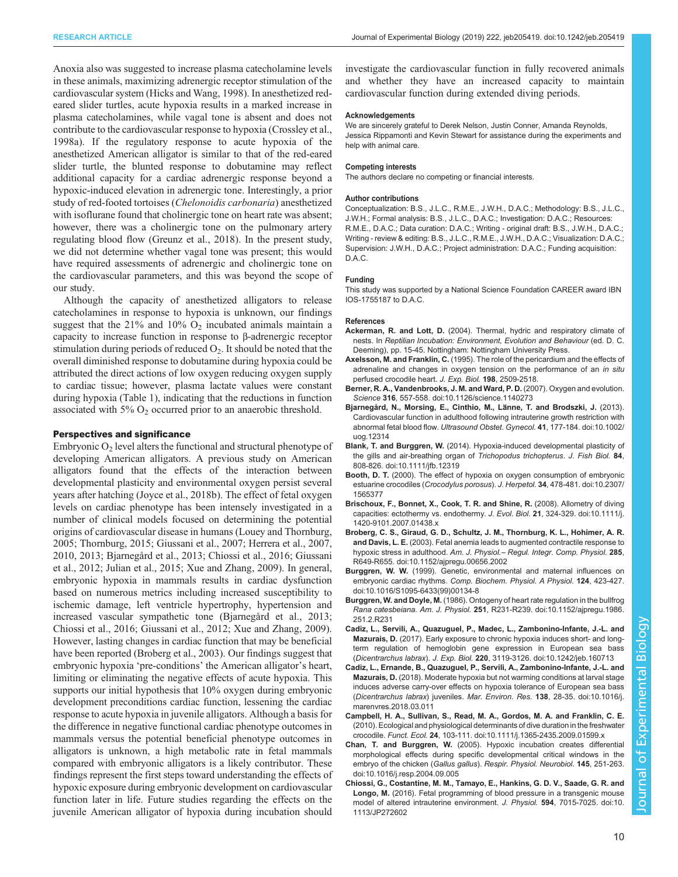<span id="page-9-0"></span>Anoxia also was suggested to increase plasma catecholamine levels in these animals, maximizing adrenergic receptor stimulation of the cardiovascular system ([Hicks and Wang, 1998\)](#page-10-0). In anesthetized redeared slider turtles, acute hypoxia results in a marked increase in plasma catecholamines, while vagal tone is absent and does not contribute to the cardiovascular response to hypoxia ([Crossley et al.,](#page-10-0) [1998a](#page-10-0)). If the regulatory response to acute hypoxia of the anesthetized American alligator is similar to that of the red-eared slider turtle, the blunted response to dobutamine may reflect additional capacity for a cardiac adrenergic response beyond a hypoxic-induced elevation in adrenergic tone. Interestingly, a prior study of red-footed tortoises (Chelonoidis carbonaria) anesthetized with isoflurane found that cholinergic tone on heart rate was absent; however, there was a cholinergic tone on the pulmonary artery regulating blood flow ([Greunz et al., 2018](#page-10-0)). In the present study, we did not determine whether vagal tone was present; this would have required assessments of adrenergic and cholinergic tone on the cardiovascular parameters, and this was beyond the scope of our study.

Although the capacity of anesthetized alligators to release catecholamines in response to hypoxia is unknown, our findings suggest that the  $21\%$  and  $10\%$  O<sub>2</sub> incubated animals maintain a capacity to increase function in response to β-adrenergic receptor stimulation during periods of reduced  $O_2$ . It should be noted that the overall diminished response to dobutamine during hypoxia could be attributed the direct actions of low oxygen reducing oxygen supply to cardiac tissue; however, plasma lactate values were constant during hypoxia [\(Table 1](#page-2-0)), indicating that the reductions in function associated with  $5\%$  O<sub>2</sub> occurred prior to an anaerobic threshold.

## Perspectives and significance

Embryonic  $O_2$  level alters the functional and structural phenotype of developing American alligators. A previous study on American alligators found that the effects of the interaction between developmental plasticity and environmental oxygen persist several years after hatching [\(Joyce et al., 2018b\)](#page-10-0). The effect of fetal oxygen levels on cardiac phenotype has been intensely investigated in a number of clinical models focused on determining the potential origins of cardiovascular disease in humans ([Louey and Thornburg,](#page-10-0) [2005](#page-10-0); [Thornburg, 2015;](#page-11-0) [Giussani et al., 2007; Herrera et al., 2007,](#page-10-0) [2010](#page-10-0), [2013](#page-10-0); Bjarnegård et al., 2013; Chiossi et al., 2016; [Giussani](#page-10-0) [et al., 2012; Julian et al., 2015](#page-10-0); [Xue and Zhang, 2009\)](#page-11-0). In general, embryonic hypoxia in mammals results in cardiac dysfunction based on numerous metrics including increased susceptibility to ischemic damage, left ventricle hypertrophy, hypertension and increased vascular sympathetic tone (Bjarnegård et al., 2013; Chiossi et al., 2016; [Giussani et al., 2012;](#page-10-0) [Xue and Zhang, 2009\)](#page-11-0). However, lasting changes in cardiac function that may be beneficial have been reported (Broberg et al., 2003). Our findings suggest that embryonic hypoxia 'pre-conditions' the American alligator's heart, limiting or eliminating the negative effects of acute hypoxia. This supports our initial hypothesis that 10% oxygen during embryonic development preconditions cardiac function, lessening the cardiac response to acute hypoxia in juvenile alligators. Although a basis for the difference in negative functional cardiac phenotype outcomes in mammals versus the potential beneficial phenotype outcomes in alligators is unknown, a high metabolic rate in fetal mammals compared with embryonic alligators is a likely contributor. These findings represent the first steps toward understanding the effects of hypoxic exposure during embryonic development on cardiovascular function later in life. Future studies regarding the effects on the juvenile American alligator of hypoxia during incubation should

investigate the cardiovascular function in fully recovered animals and whether they have an increased capacity to maintain cardiovascular function during extended diving periods.

#### **Acknowledgements**

We are sincerely grateful to Derek Nelson, Justin Conner, Amanda Reynolds, Jessica Rippamonti and Kevin Stewart for assistance during the experiments and help with animal care.

#### Competing interests

The authors declare no competing or financial interests.

#### Author contributions

Conceptualization: B.S., J.L.C., R.M.E., J.W.H., D.A.C.; Methodology: B.S., J.L.C., J.W.H.; Formal analysis: B.S., J.L.C., D.A.C.; Investigation: D.A.C.; Resources: R.M.E., D.A.C.; Data curation: D.A.C.; Writing - original draft: B.S., J.W.H., D.A.C.; Writing - review & editing: B.S., J.L.C., R.M.E., J.W.H., D.A.C.; Visualization: D.A.C.; Supervision: J.W.H., D.A.C.; Project administration: D.A.C.; Funding acquisition: D.A.C.

### Funding

This study was supported by a National Science Foundation CAREER award IBN IOS-1755187 to D.A.C.

#### References

- Ackerman, R. and Lott, D. (2004). Thermal, hydric and respiratory climate of nests. In Reptilian Incubation: Environment, Evolution and Behaviour (ed. D. C. Deeming), pp. 15-45. Nottingham: Nottingham University Press.
- Axelsson, M. and Franklin, C. (1995). The role of the pericardium and the effects of adrenaline and changes in oxygen tension on the performance of an in situ perfused crocodile heart. J. Exp. Biol. 198, 2509-2518.
- [Berner, R. A., Vandenbrooks, J. M. and Ward, P. D.](https://doi.org/10.1126/science.1140273) (2007). Oxygen and evolution. Science 316[, 557-558. doi:10.1126/science.1140273](https://doi.org/10.1126/science.1140273)
- Bjarnegård, N., Morsing, E., Cinthio, M., Länne, T. and Brodszki, J. (2013). [Cardiovascular function in adulthood following intrauterine growth restriction with](https://doi.org/10.1002/uog.12314) abnormal fetal blood flow. [Ultrasound Obstet. Gynecol.](https://doi.org/10.1002/uog.12314) 41, 177-184. doi:10.1002/ [uog.12314](https://doi.org/10.1002/uog.12314)
- Blank, T. and Burggren, W. [\(2014\). Hypoxia-induced developmental plasticity of](https://doi.org/10.1111/jfb.12319) [the gills and air-breathing organ of](https://doi.org/10.1111/jfb.12319) Trichopodus trichopterus. J. Fish Biol. 84, [808-826. doi:10.1111/jfb.12319](https://doi.org/10.1111/jfb.12319)
- Booth, D. T. [\(2000\). The effect of hypoxia on oxygen consumption of embryonic](https://doi.org/10.2307/1565377) estuarine crocodiles (Crocodylus porosus). J. Herpetol. 34[, 478-481. doi:10.2307/](https://doi.org/10.2307/1565377) [1565377](https://doi.org/10.2307/1565377)
- [Brischoux, F., Bonnet, X., Cook, T. R. and Shine, R.](https://doi.org/10.1111/j.1420-9101.2007.01438.x) (2008). Allometry of diving [capacities: ectothermy vs. endothermy.](https://doi.org/10.1111/j.1420-9101.2007.01438.x) J. Evol. Biol. 21, 324-329. doi:10.1111/j. [1420-9101.2007.01438.x](https://doi.org/10.1111/j.1420-9101.2007.01438.x)
- [Broberg, C. S., Giraud, G. D., Schultz, J. M., Thornburg, K. L., Hohimer, A. R.](https://doi.org/10.1152/ajpregu.00656.2002) and Davis, L. E. [\(2003\). Fetal anemia leads to augmented contractile response to](https://doi.org/10.1152/ajpregu.00656.2002) hypoxic stress in adulthood. Am. J. Physiol.- [Regul. Integr. Comp. Physiol.](https://doi.org/10.1152/ajpregu.00656.2002) 285, [R649-R655. doi:10.1152/ajpregu.00656.2002](https://doi.org/10.1152/ajpregu.00656.2002)
- Burggren, W. W. [\(1999\). Genetic, environmental and maternal influences on](https://doi.org/10.1016/S1095-6433(99)00134-8) embryonic cardiac rhythms. [Comp. Biochem. Physiol. A Physiol.](https://doi.org/10.1016/S1095-6433(99)00134-8) 124, 423-427. [doi:10.1016/S1095-6433\(99\)00134-8](https://doi.org/10.1016/S1095-6433(99)00134-8)
- Burggren, W. and Doyle, M. [\(1986\). Ontogeny of heart rate regulation in the bullfrog](https://doi.org/10.1152/ajpregu.1986.251.2.R231) Rana catesbeiana. Am. J. Physiol. 251[, R231-R239. doi:10.1152/ajpregu.1986.](https://doi.org/10.1152/ajpregu.1986.251.2.R231) [251.2.R231](https://doi.org/10.1152/ajpregu.1986.251.2.R231)
- [Cadiz, L., Servili, A., Quazuguel, P., Madec, L., Zambonino-Infante, J.-L. and](https://doi.org/10.1242/jeb.160713) Mazurais, D. [\(2017\). Early exposure to chronic hypoxia induces short- and long](https://doi.org/10.1242/jeb.160713)[term regulation of hemoglobin gene expression in European sea bass](https://doi.org/10.1242/jeb.160713) (Dicentrarchus labrax). J. Exp. Biol. 220[, 3119-3126. doi:10.1242/jeb.160713](https://doi.org/10.1242/jeb.160713)
- [Cadiz, L., Ernande, B., Quazuguel, P., Servili, A., Zambonino-Infante, J.-L. and](https://doi.org/10.1016/j.marenvres.2018.03.011) Mazurais, D. [\(2018\). Moderate hypoxia but not warming conditions at larval stage](https://doi.org/10.1016/j.marenvres.2018.03.011) [induces adverse carry-over effects on hypoxia tolerance of European sea bass](https://doi.org/10.1016/j.marenvres.2018.03.011) (Dicentrarchus labrax) juveniles. Mar. Environ. Res. 138[, 28-35. doi:10.1016/j.](https://doi.org/10.1016/j.marenvres.2018.03.011) [marenvres.2018.03.011](https://doi.org/10.1016/j.marenvres.2018.03.011)
- [Campbell, H. A., Sullivan, S., Read, M. A., Gordos, M. A. and Franklin, C. E.](https://doi.org/10.1111/j.1365-2435.2009.01599.x) [\(2010\). Ecological and physiological determinants of dive duration in the freshwater](https://doi.org/10.1111/j.1365-2435.2009.01599.x) crocodile. Funct. Ecol. 24[, 103-111. doi:10.1111/j.1365-2435.2009.01599.x](https://doi.org/10.1111/j.1365-2435.2009.01599.x)
- Chan, T. and Burggren, W. [\(2005\). Hypoxic incubation creates differential](https://doi.org/10.1016/j.resp.2004.09.005) [morphological effects during specific developmental critical windows in the](https://doi.org/10.1016/j.resp.2004.09.005) embryo of the chicken (Gallus gallus). [Respir. Physiol. Neurobiol.](https://doi.org/10.1016/j.resp.2004.09.005) 145, 251-263. [doi:10.1016/j.resp.2004.09.005](https://doi.org/10.1016/j.resp.2004.09.005)
- [Chiossi, G., Costantine, M. M., Tamayo, E., Hankins, G. D. V., Saade, G. R. and](https://doi.org/10.1113/JP272602) Longo, M. [\(2016\). Fetal programming of blood pressure in a transgenic mouse](https://doi.org/10.1113/JP272602) [model of altered intrauterine environment.](https://doi.org/10.1113/JP272602) J. Physiol. 594, 7015-7025. doi:10. [1113/JP272602](https://doi.org/10.1113/JP272602)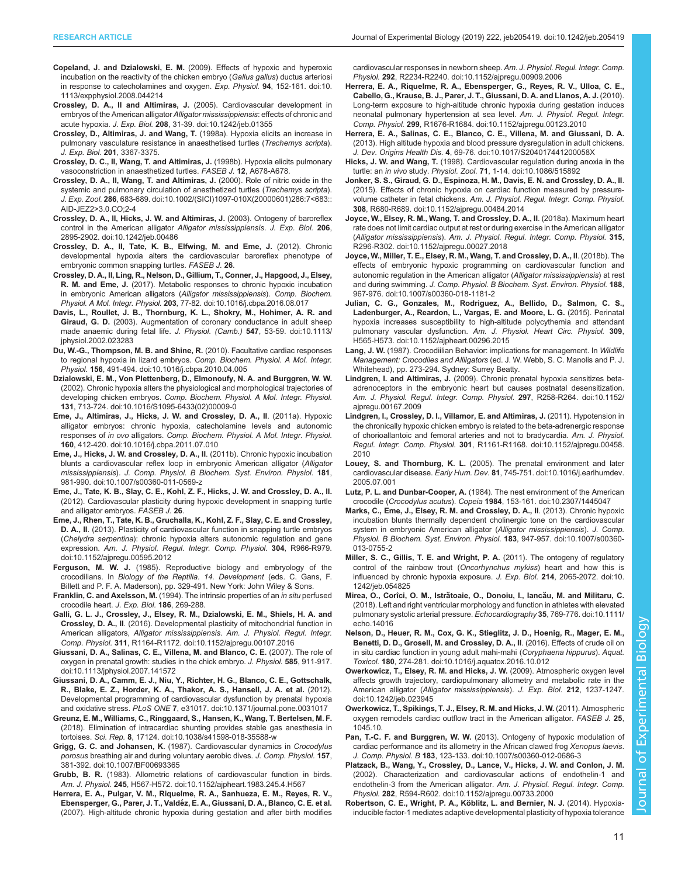- <span id="page-10-0"></span>Copeland, J. and Dzialowski, E. M. [\(2009\). Effects of hypoxic and hyperoxic](https://doi.org/10.1113/expphysiol.2008.044214) [incubation on the reactivity of the chicken embryo \(](https://doi.org/10.1113/expphysiol.2008.044214)Gallus gallus) ductus arteriosi [in response to catecholamines and oxygen.](https://doi.org/10.1113/expphysiol.2008.044214) Exp. Physiol. 94, 152-161. doi:10. [1113/expphysiol.2008.044214](https://doi.org/10.1113/expphysiol.2008.044214)
- Crossley, D. A., II and Altimiras, J. [\(2005\). Cardiovascular development in](https://doi.org/10.1242/jeb.01355) [embryos of the American alligator](https://doi.org/10.1242/jeb.01355) Alligator mississippiensis: effects of chronic and acute hypoxia. J. Exp. Biol. 208[, 31-39. doi:10.1242/jeb.01355](https://doi.org/10.1242/jeb.01355)
- Crossley, D., Altimiras, J. and Wang, T. (1998a). Hypoxia elicits an increase in pulmonary vasculature resistance in anaesthetised turtles (Trachemys scripta). J. Exp. Biol. 201, 3367-3375.
- Crossley, D. C., II, Wang, T. and Altimiras, J. (1998b). Hypoxia elicits pulmonary vasoconstriction in anaesthetized turtles. FASEB J. 12, A678-A678.
- [Crossley, D. A., II, Wang, T. and Altimiras, J.](https://doi.org/10.1002/(SICI)1097-010X(20000601)286:7%3C683::AID-JEZ2%3E3.0.CO;2-4) (2000). Role of nitric oxide in the [systemic and pulmonary circulation of anesthetized turtles \(](https://doi.org/10.1002/(SICI)1097-010X(20000601)286:7%3C683::AID-JEZ2%3E3.0.CO;2-4)Trachemys scripta). J. Exp. Zool. 286[, 683-689. doi:10.1002/\(SICI\)1097-010X\(20000601\)286:7<683::](https://doi.org/10.1002/(SICI)1097-010X(20000601)286:7%3C683::AID-JEZ2%3E3.0.CO;2-4) [AID-JEZ2>3.0.CO;2-4](https://doi.org/10.1002/(SICI)1097-010X(20000601)286:7%3C683::AID-JEZ2%3E3.0.CO;2-4)
- [Crossley, D. A., II, Hicks, J. W. and Altimiras, J.](https://doi.org/10.1242/jeb.00486) (2003). Ontogeny of baroreflex [control in the American alligator](https://doi.org/10.1242/jeb.00486) Alligator mississippiensis. J. Exp. Biol. 206, [2895-2902. doi:10.1242/jeb.00486](https://doi.org/10.1242/jeb.00486)
- Crossley, D. A., II, Tate, K. B., Elfwing, M. and Eme, J. (2012). Chronic developmental hypoxia alters the cardiovascular baroreflex phenotype of embryonic common snapping turtles. FASEB J. 26.
- [Crossley, D. A., II, Ling, R., Nelson, D., Gillium, T., Conner, J., Hapgood, J., Elsey,](https://doi.org/10.1016/j.cbpa.2016.08.017) R. M. and Eme, J. [\(2017\). Metabolic responses to chronic hypoxic incubation](https://doi.org/10.1016/j.cbpa.2016.08.017) [in embryonic American alligators \(](https://doi.org/10.1016/j.cbpa.2016.08.017)Alligator mississippiensis). Comp. Biochem. Physiol. A Mol. Integr. Physiol. 203[, 77-82. doi:10.1016/j.cbpa.2016.08.017](https://doi.org/10.1016/j.cbpa.2016.08.017)
- [Davis, L., Roullet, J. B., Thornburg, K. L., Shokry, M., Hohimer, A. R. and](https://doi.org/10.1113/jphysiol.2002.023283) Giraud, G. D. [\(2003\). Augmentation of coronary conductance in adult sheep](https://doi.org/10.1113/jphysiol.2002.023283) [made anaemic during fetal life.](https://doi.org/10.1113/jphysiol.2002.023283) J. Physiol. (Camb.) 547, 53-59. doi:10.1113/ [jphysiol.2002.023283](https://doi.org/10.1113/jphysiol.2002.023283)
- [Du, W.-G., Thompson, M. B. and Shine, R.](https://doi.org/10.1016/j.cbpa.2010.04.005) (2010). Facultative cardiac responses to regional hypoxia in lizard embryos. [Comp. Biochem. Physiol. A Mol. Integr.](https://doi.org/10.1016/j.cbpa.2010.04.005) Physiol. 156[, 491-494. doi:10.1016/j.cbpa.2010.04.005](https://doi.org/10.1016/j.cbpa.2010.04.005)
- [Dzialowski, E. M., Von Plettenberg, D., Elmonoufy, N. A. and Burggren, W. W.](https://doi.org/10.1016/S1095-6433(02)00009-0) [\(2002\). Chronic hypoxia alters the physiological and morphological trajectories of](https://doi.org/10.1016/S1095-6433(02)00009-0) developing chicken embryos. [Comp. Biochem. Physiol. A Mol. Integr. Physiol.](https://doi.org/10.1016/S1095-6433(02)00009-0) 131[, 713-724. doi:10.1016/S1095-6433\(02\)00009-0](https://doi.org/10.1016/S1095-6433(02)00009-0)
- [Eme, J., Altimiras, J., Hicks, J. W. and Crossley, D. A., II](https://doi.org/10.1016/j.cbpa.2011.07.010). (2011a). Hypoxic [alligator embryos: chronic hypoxia, catecholamine levels and autonomic](https://doi.org/10.1016/j.cbpa.2011.07.010) responses of in ovo alligators. [Comp. Biochem. Physiol. A Mol. Integr. Physiol.](https://doi.org/10.1016/j.cbpa.2011.07.010) 160[, 412-420. doi:10.1016/j.cbpa.2011.07.010](https://doi.org/10.1016/j.cbpa.2011.07.010)
- [Eme, J., Hicks, J. W. and Crossley, D. A., II](https://doi.org/10.1007/s00360-011-0569-z). (2011b). Chronic hypoxic incubation [blunts a cardiovascular reflex loop in embryonic American alligator \(](https://doi.org/10.1007/s00360-011-0569-z)Alligator mississippiensis). [J. Comp. Physiol. B Biochem. Syst. Environ. Physiol.](https://doi.org/10.1007/s00360-011-0569-z) 181, [981-990. doi:10.1007/s00360-011-0569-z](https://doi.org/10.1007/s00360-011-0569-z)
- Eme, J., Tate, K. B., Slay, C. E., Kohl, Z. F., Hicks, J. W. and Crossley, D. A., II. (2012). Cardiovascular plasticity during hypoxic development in snapping turtle and alligator embryos. FASEB J. 26.
- [Eme, J., Rhen, T., Tate, K. B., Gruchalla, K., Kohl, Z. F., Slay, C. E. and Crossley,](https://doi.org/10.1152/ajpregu.00595.2012) D. A., II[. \(2013\). Plasticity of cardiovascular function in snapping turtle embryos](https://doi.org/10.1152/ajpregu.00595.2012) (Chelydra serpentina[\): chronic hypoxia alters autonomic regulation and gene](https://doi.org/10.1152/ajpregu.00595.2012) expression. [Am. J. Physiol. Regul. Integr. Comp. Physiol.](https://doi.org/10.1152/ajpregu.00595.2012) 304, R966-R979. [doi:10.1152/ajpregu.00595.2012](https://doi.org/10.1152/ajpregu.00595.2012)
- Ferguson, M. W. J. (1985). Reproductive biology and embryology of the crocodilians. In Biology of the Reptilia. 14. Development (eds. C. Gans, F. Billett and P. F. A. Maderson), pp. 329-491. New York: John Wiley & Sons.
- Franklin, C. and Axelsson, M. (1994). The intrinsic properties of an in situ perfused crocodile heart. J. Exp. Biol. 186, 269-288.
- [Galli, G. L. J., Crossley, J., Elsey, R. M., Dzialowski, E. M., Shiels, H. A. and](https://doi.org/10.1152/ajpregu.00107.2016) Crossley, D. A., II[. \(2016\). Developmental plasticity of mitochondrial function in](https://doi.org/10.1152/ajpregu.00107.2016) American alligators, Alligator mississippiensis. [Am. J. Physiol. Regul. Integr.](https://doi.org/10.1152/ajpregu.00107.2016) Comp. Physiol. 311[, R1164-R1172. doi:10.1152/ajpregu.00107.2016](https://doi.org/10.1152/ajpregu.00107.2016)
- [Giussani, D. A., Salinas, C. E., Villena, M. and Blanco, C. E.](https://doi.org/10.1113/jphysiol.2007.141572) (2007). The role of [oxygen in prenatal growth: studies in the chick embryo.](https://doi.org/10.1113/jphysiol.2007.141572) J. Physiol. 585, 911-917. [doi:10.1113/jphysiol.2007.141572](https://doi.org/10.1113/jphysiol.2007.141572)
- [Giussani, D. A., Camm, E. J., Niu, Y., Richter, H. G., Blanco, C. E., Gottschalk,](https://doi.org/10.1371/journal.pone.0031017) [R., Blake, E. Z., Horder, K. A., Thakor, A. S., Hansell, J. A. et al.](https://doi.org/10.1371/journal.pone.0031017) (2012). [Developmental programming of cardiovascular dysfunction by prenatal hypoxia](https://doi.org/10.1371/journal.pone.0031017) and oxidative stress. PLoS ONE 7[, e31017. doi:10.1371/journal.pone.0031017](https://doi.org/10.1371/journal.pone.0031017)
- [Greunz, E. M., Williams, C., Ringgaard, S., Hansen, K., Wang, T. Bertelsen, M. F.](https://doi.org/10.1038/s41598-018-35588-w) [\(2018\). Elimination of intracardiac shunting provides stable gas anesthesia in](https://doi.org/10.1038/s41598-018-35588-w) tortoises. Sci. Rep. 8[, 17124. doi:10.1038/s41598-018-35588-w](https://doi.org/10.1038/s41598-018-35588-w)
- Grigg, G. C. and Johansen, K. [\(1987\). Cardiovascular dynamics in](https://doi.org/10.1007/BF00693365) Crocodylus porosus [breathing air and during voluntary aerobic dives.](https://doi.org/10.1007/BF00693365) J. Comp. Physiol. 157, [381-392. doi:10.1007/BF00693365](https://doi.org/10.1007/BF00693365)
- Grubb, B. R. [\(1983\). Allometric relations of cardiovascular function in birds.](https://doi.org/10.1152/ajpheart.1983.245.4.H567) Am. J. Physiol. 245[, H567-H572. doi:10.1152/ajpheart.1983.245.4.H567](https://doi.org/10.1152/ajpheart.1983.245.4.H567)
- [Herrera, E. A., Pulgar, V. M., Riquelme, R. A., Sanhueza, E. M., Reyes, R. V.,](https://doi.org/10.1152/ajpregu.00909.2006) Ebensperger, G., Parer, J. T., Valdé[z, E. A., Giussani, D. A., Blanco, C. E. et al.](https://doi.org/10.1152/ajpregu.00909.2006) [\(2007\). High-altitude chronic hypoxia during gestation and after birth modifies](https://doi.org/10.1152/ajpregu.00909.2006)

[cardiovascular responses in newborn sheep.](https://doi.org/10.1152/ajpregu.00909.2006) Am. J. Physiol. Regul. Integr. Comp. Physiol. 292[, R2234-R2240. doi:10.1152/ajpregu.00909.2006](https://doi.org/10.1152/ajpregu.00909.2006)

- [Herrera, E. A., Riquelme, R. A., Ebensperger, G., Reyes, R. V., Ulloa, C. E.,](https://doi.org/10.1152/ajpregu.00123.2010) [Cabello, G., Krause, B. J., Parer, J. T., Giussani, D. A. and Llanos, A. J.](https://doi.org/10.1152/ajpregu.00123.2010) (2010). [Long-term exposure to high-altitude chronic hypoxia during gestation induces](https://doi.org/10.1152/ajpregu.00123.2010) [neonatal pulmonary hypertension at sea level.](https://doi.org/10.1152/ajpregu.00123.2010) Am. J. Physiol. Regul. Integr. Comp. Physiol. 299[, R1676-R1684. doi:10.1152/ajpregu.00123.2010](https://doi.org/10.1152/ajpregu.00123.2010)
- [Herrera, E. A., Salinas, C. E., Blanco, C. E., Villena, M. and Giussani, D. A.](https://doi.org/10.1017/S204017441200058X) [\(2013\). High altitude hypoxia and blood pressure dysregulation in adult chickens.](https://doi.org/10.1017/S204017441200058X) J. Dev. Origins Health Dis. 4[, 69-76. doi:10.1017/S204017441200058X](https://doi.org/10.1017/S204017441200058X)
- Hicks, J. W. and Wang, T. [\(1998\). Cardiovascular regulation during anoxia in the](https://doi.org/10.1086/515892) turtle: an in vivo study. Physiol. Zool. 71[, 1-14. doi:10.1086/515892](https://doi.org/10.1086/515892)
- [Jonker, S. S., Giraud, G. D., Espinoza, H. M., Davis, E. N. and Crossley, D. A., II](https://doi.org/10.1152/ajpregu.00484.2014). [\(2015\). Effects of chronic hypoxia on cardiac function measured by pressure](https://doi.org/10.1152/ajpregu.00484.2014)volume catheter in fetal chickens. [Am. J. Physiol. Regul. Integr. Comp. Physiol.](https://doi.org/10.1152/ajpregu.00484.2014) 308[, R680-R689. doi:10.1152/ajpregu.00484.2014](https://doi.org/10.1152/ajpregu.00484.2014)
- [Joyce, W., Elsey, R. M., Wang, T. and Crossley, D. A., II](https://doi.org/10.1152/ajpregu.00027.2018). (2018a). Maximum heart [rate does not limit cardiac output at rest or during exercise in the American alligator](https://doi.org/10.1152/ajpregu.00027.2018) (Alligator mississippiensis). [Am. J. Physiol. Regul. Integr. Comp. Physiol.](https://doi.org/10.1152/ajpregu.00027.2018) 315, [R296-R302. doi:10.1152/ajpregu.00027.2018](https://doi.org/10.1152/ajpregu.00027.2018)
- [Joyce, W., Miller, T. E., Elsey, R. M., Wang, T. and Crossley, D. A., II](https://doi.org/10.1007/s00360-018-1181-2). (2018b). The [effects of embryonic hypoxic programming on cardiovascular function and](https://doi.org/10.1007/s00360-018-1181-2) [autonomic regulation in the American alligator \(](https://doi.org/10.1007/s00360-018-1181-2)Alligator mississippiensis) at rest and during swimming. [J. Comp. Physiol. B Biochem. Syst. Environ. Physiol.](https://doi.org/10.1007/s00360-018-1181-2) 188, [967-976. doi:10.1007/s00360-018-1181-2](https://doi.org/10.1007/s00360-018-1181-2)
- [Julian, C. G., Gonzales, M., Rodriguez, A., Bellido, D., Salmon, C. S.,](https://doi.org/10.1152/ajpheart.00296.2015) [Ladenburger, A., Reardon, L., Vargas, E. and Moore, L. G.](https://doi.org/10.1152/ajpheart.00296.2015) (2015). Perinatal [hypoxia increases susceptibility to high-altitude polycythemia and attendant](https://doi.org/10.1152/ajpheart.00296.2015) pulmonary vascular dysfunction. [Am. J. Physiol. Heart Circ. Physiol.](https://doi.org/10.1152/ajpheart.00296.2015) 309, [H565-H573. doi:10.1152/ajpheart.00296.2015](https://doi.org/10.1152/ajpheart.00296.2015)
- Lang, J. W. (1987). Crocodiilian Behavior: implications for management. In Wildlife Management: Crocodiles and Allilgators (ed. J. W. Webb, S. C. Manolis and P. J. Whitehead), pp. 273-294. Sydney: Surrey Beatty.
- Lindgren, I. and Altimiras, J. [\(2009\). Chronic prenatal hypoxia sensitizes beta](https://doi.org/10.1152/ajpregu.00167.2009)[adrenoceptors in the embryonic heart but causes postnatal desensitization.](https://doi.org/10.1152/ajpregu.00167.2009) [Am. J. Physiol. Regul. Integr. Comp. Physiol.](https://doi.org/10.1152/ajpregu.00167.2009) 297, R258-R264. doi:10.1152/ [ajpregu.00167.2009](https://doi.org/10.1152/ajpregu.00167.2009)
- [Lindgren, I., Crossley, D. I., Villamor, E. and Altimiras, J.](https://doi.org/10.1152/ajpregu.00458.2010) (2011). Hypotension in [the chronically hypoxic chicken embryo is related to the beta-adrenergic response](https://doi.org/10.1152/ajpregu.00458.2010) [of chorioallantoic and femoral arteries and not to bradycardia.](https://doi.org/10.1152/ajpregu.00458.2010) Am. J. Physiol. Regul. Integr. Comp. Physiol. 301[, R1161-R1168. doi:10.1152/ajpregu.00458.](https://doi.org/10.1152/ajpregu.00458.2010) [2010](https://doi.org/10.1152/ajpregu.00458.2010)
- Louey, S. and Thornburg, K. L. [\(2005\). The prenatal environment and later](https://doi.org/10.1016/j.earlhumdev.2005.07.001) cardiovascular disease. Early Hum. Dev. 81[, 745-751. doi:10.1016/j.earlhumdev.](https://doi.org/10.1016/j.earlhumdev.2005.07.001) [2005.07.001](https://doi.org/10.1016/j.earlhumdev.2005.07.001)
- Lutz, P. L. and Dunbar-Cooper, A. [\(1984\). The nest environment of the American](https://doi.org/10.2307/1445047) crocodile (Crocodylus acutus). Copeia 1984[, 153-161. doi:10.2307/1445047](https://doi.org/10.2307/1445047)
- [Marks, C., Eme, J., Elsey, R. M. and Crossley, D. A., II](https://doi.org/10.1007/s00360-013-0755-2). (2013). Chronic hypoxic [incubation blunts thermally dependent cholinergic tone on the cardiovascular](https://doi.org/10.1007/s00360-013-0755-2) [system in embryonic American alligator \(](https://doi.org/10.1007/s00360-013-0755-2)Alligator mississippiensis). J. Comp. [Physiol. B Biochem. Syst. Environ. Physiol.](https://doi.org/10.1007/s00360-013-0755-2) 183, 947-957. doi:10.1007/s00360- [013-0755-2](https://doi.org/10.1007/s00360-013-0755-2)
- [Miller, S. C., Gillis, T. E. and Wright, P. A.](https://doi.org/10.1242/jeb.054825) (2011). The ontogeny of regulatory [control of the rainbow trout \(](https://doi.org/10.1242/jeb.054825)Oncorhynchus mykiss) heart and how this is [influenced by chronic hypoxia exposure.](https://doi.org/10.1242/jeb.054825) J. Exp. Biol. 214, 2065-2072. doi:10. [1242/jeb.054825](https://doi.org/10.1242/jeb.054825)
- Mirea, O., Corîci, O. M., Istrătoaie, O., Donoiu, I., Iancău, M. and Militaru, C. [\(2018\). Left and right ventricular morphology and function in athletes with elevated](https://doi.org/10.1111/echo.14016) [pulmonary systolic arterial pressure.](https://doi.org/10.1111/echo.14016) Echocardiography 35, 769-776. doi:10.1111/ [echo.14016](https://doi.org/10.1111/echo.14016)
- [Nelson, D., Heuer, R. M., Cox, G. K., Stieglitz, J. D., Hoenig, R., Mager, E. M.,](https://doi.org/10.1016/j.aquatox.2016.10.012) [Benetti, D. D., Grosell, M. and Crossley, D. A., II](https://doi.org/10.1016/j.aquatox.2016.10.012). (2016). Effects of crude oil on [in situ cardiac function in young adult mahi-mahi \(](https://doi.org/10.1016/j.aquatox.2016.10.012)Coryphaena hippurus). Aquat. Toxicol. 180[, 274-281. doi:10.1016/j.aquatox.2016.10.012](https://doi.org/10.1016/j.aquatox.2016.10.012)
- [Owerkowicz, T., Elsey, R. M. and Hicks, J. W.](https://doi.org/10.1242/jeb.023945) (2009). Atmospheric oxygen level [affects growth trajectory, cardiopulmonary allometry and metabolic rate in the](https://doi.org/10.1242/jeb.023945) American alligator ([Alligator mississippiensis](https://doi.org/10.1242/jeb.023945)). J. Exp. Biol. 212, 1237-1247. [doi:10.1242/jeb.023945](https://doi.org/10.1242/jeb.023945)
- Owerkowicz, T., Spikings, T. J., Elsey, R. M. and Hicks, J. W. (2011). Atmospheric oxygen remodels cardiac outflow tract in the American alligator. FASEB J. 25, 1045.10.
- Pan, T.-C. F. and Burggren, W. W. [\(2013\). Ontogeny of hypoxic modulation of](https://doi.org/10.1007/s00360-012-0686-3) [cardiac performance and its allometry in the African clawed frog](https://doi.org/10.1007/s00360-012-0686-3) Xenopus laevis. J. Comp. Physiol. B 183[, 123-133. doi:10.1007/s00360-012-0686-3](https://doi.org/10.1007/s00360-012-0686-3)
- [Platzack, B., Wang, Y., Crossley, D., Lance, V., Hicks, J. W. and Conlon, J. M.](https://doi.org/10.1152/ajpregu.00733.2000) [\(2002\). Characterization and cardiovascular actions of endothelin-1 and](https://doi.org/10.1152/ajpregu.00733.2000) [endothelin-3 from the American alligator.](https://doi.org/10.1152/ajpregu.00733.2000) Am. J. Physiol. Regul. Integr. Comp. Physiol. 282[, R594-R602. doi:10.1152/ajpregu.00733.2000](https://doi.org/10.1152/ajpregu.00733.2000)
- Robertson, C. E., Wright, P. A., Köblitz, L. and Bernier, N. J. (2014). Hypoxia[inducible factor-1 mediates adaptive developmental plasticity of hypoxia tolerance](https://doi.org/10.1098/rspb.2014.0637)